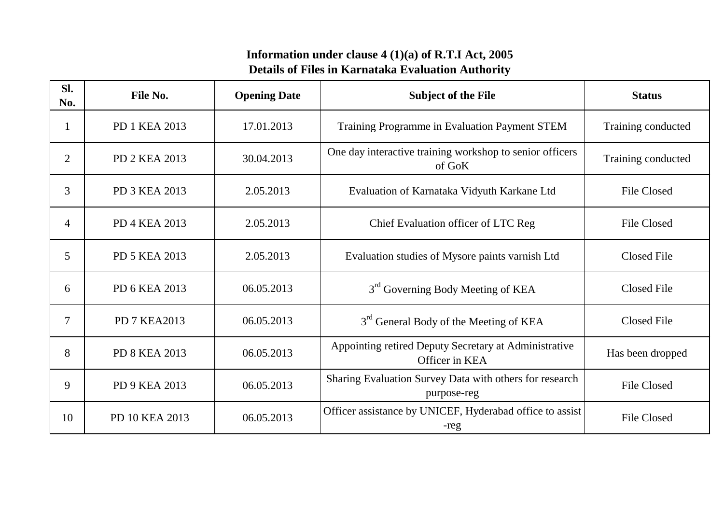| SI.<br>No.     | File No.             | <b>Opening Date</b> | <b>Subject of the File</b>                                              | <b>Status</b>      |
|----------------|----------------------|---------------------|-------------------------------------------------------------------------|--------------------|
|                | PD 1 KEA 2013        | 17.01.2013          | Training Programme in Evaluation Payment STEM                           | Training conducted |
| $\overline{2}$ | PD 2 KEA 2013        | 30.04.2013          | One day interactive training workshop to senior officers<br>of GoK      | Training conducted |
| 3              | PD 3 KEA 2013        | 2.05.2013           | Evaluation of Karnataka Vidyuth Karkane Ltd                             | <b>File Closed</b> |
| 4              | PD 4 KEA 2013        | 2.05.2013           | Chief Evaluation officer of LTC Reg                                     | <b>File Closed</b> |
| 5              | PD 5 KEA 2013        | 2.05.2013           | Evaluation studies of Mysore paints varnish Ltd                         | <b>Closed File</b> |
| 6              | PD 6 KEA 2013        | 06.05.2013          | 3 <sup>rd</sup> Governing Body Meeting of KEA                           | <b>Closed File</b> |
| 7              | <b>PD 7 KEA2013</b>  | 06.05.2013          | 3 <sup>rd</sup> General Body of the Meeting of KEA                      | <b>Closed File</b> |
| 8              | <b>PD 8 KEA 2013</b> | 06.05.2013          | Appointing retired Deputy Secretary at Administrative<br>Officer in KEA | Has been dropped   |
| 9              | PD 9 KEA 2013        | 06.05.2013          | Sharing Evaluation Survey Data with others for research<br>purpose-reg  | <b>File Closed</b> |
| 10             | PD 10 KEA 2013       | 06.05.2013          | Officer assistance by UNICEF, Hyderabad office to assist<br>-reg        | <b>File Closed</b> |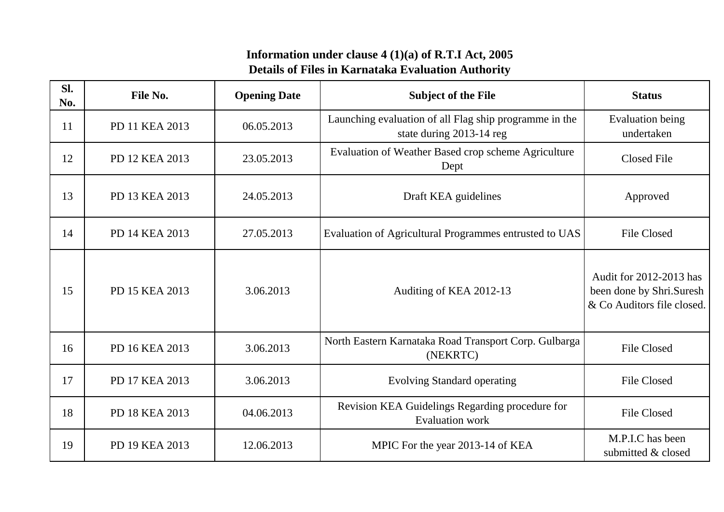| Sl.<br>No. | File No.       | <b>Opening Date</b> | <b>Subject of the File</b>                                                         | <b>Status</b>                                                                     |
|------------|----------------|---------------------|------------------------------------------------------------------------------------|-----------------------------------------------------------------------------------|
| 11         | PD 11 KEA 2013 | 06.05.2013          | Launching evaluation of all Flag ship programme in the<br>state during 2013-14 reg | Evaluation being<br>undertaken                                                    |
| 12         | PD 12 KEA 2013 | 23.05.2013          | Evaluation of Weather Based crop scheme Agriculture<br>Dept                        | Closed File                                                                       |
| 13         | PD 13 KEA 2013 | 24.05.2013          | Draft KEA guidelines                                                               | Approved                                                                          |
| 14         | PD 14 KEA 2013 | 27.05.2013          | Evaluation of Agricultural Programmes entrusted to UAS                             | <b>File Closed</b>                                                                |
| 15         | PD 15 KEA 2013 | 3.06.2013           | Auditing of KEA 2012-13                                                            | Audit for 2012-2013 has<br>been done by Shri.Suresh<br>& Co Auditors file closed. |
| 16         | PD 16 KEA 2013 | 3.06.2013           | North Eastern Karnataka Road Transport Corp. Gulbarga<br>(NEKRTC)                  | <b>File Closed</b>                                                                |
| 17         | PD 17 KEA 2013 | 3.06.2013           | <b>Evolving Standard operating</b>                                                 | <b>File Closed</b>                                                                |
| 18         | PD 18 KEA 2013 | 04.06.2013          | Revision KEA Guidelings Regarding procedure for<br><b>Evaluation work</b>          | <b>File Closed</b>                                                                |
| 19         | PD 19 KEA 2013 | 12.06.2013          | MPIC For the year 2013-14 of KEA                                                   | M.P.I.C has been<br>submitted & closed                                            |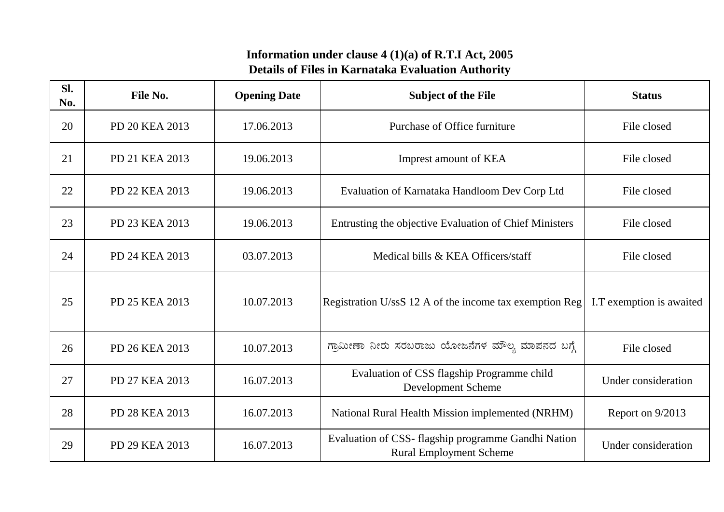| Sl.<br>No. | File No.       | <b>Opening Date</b> | <b>Subject of the File</b>                                                            | <b>Status</b>            |
|------------|----------------|---------------------|---------------------------------------------------------------------------------------|--------------------------|
| 20         | PD 20 KEA 2013 | 17.06.2013          | Purchase of Office furniture                                                          | File closed              |
| 21         | PD 21 KEA 2013 | 19.06.2013          | Imprest amount of KEA                                                                 | File closed              |
| 22         | PD 22 KEA 2013 | 19.06.2013          | Evaluation of Karnataka Handloom Dev Corp Ltd                                         | File closed              |
| 23         | PD 23 KEA 2013 | 19.06.2013          | Entrusting the objective Evaluation of Chief Ministers                                | File closed              |
| 24         | PD 24 KEA 2013 | 03.07.2013          | Medical bills & KEA Officers/staff                                                    | File closed              |
| 25         | PD 25 KEA 2013 | 10.07.2013          | Registration U/ssS 12 A of the income tax exemption Reg                               | I.T exemption is awaited |
| 26         | PD 26 KEA 2013 | 10.07.2013          | ಗ್ರಾಮೀಣಾ ನೀರು ಸರಬರಾಜು ಯೋಜನೆಗಳ ಮೌಲ್ಯ ಮಾಪನದ ಬಗ್ಗೆ                                       | File closed              |
| 27         | PD 27 KEA 2013 | 16.07.2013          | Evaluation of CSS flagship Programme child<br>Development Scheme                      | Under consideration      |
| 28         | PD 28 KEA 2013 | 16.07.2013          | National Rural Health Mission implemented (NRHM)                                      | Report on 9/2013         |
| 29         | PD 29 KEA 2013 | 16.07.2013          | Evaluation of CSS- flagship programme Gandhi Nation<br><b>Rural Employment Scheme</b> | Under consideration      |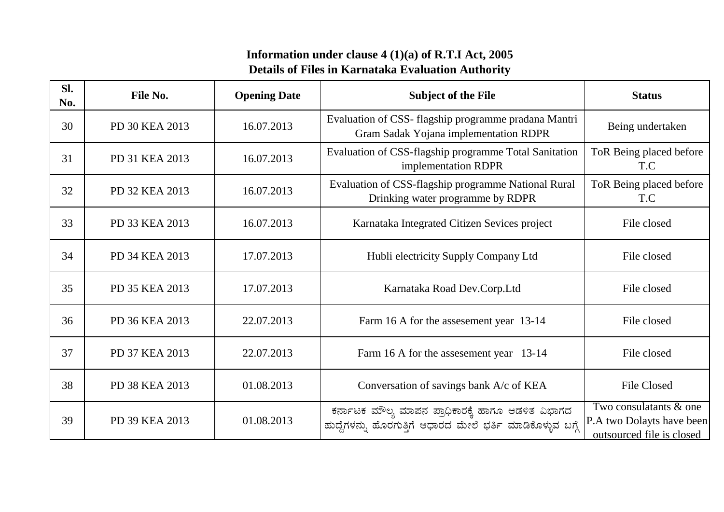| Sl.<br>No. | File No.       | <b>Opening Date</b> | <b>Subject of the File</b>                                                                                        | <b>Status</b>                                                                    |
|------------|----------------|---------------------|-------------------------------------------------------------------------------------------------------------------|----------------------------------------------------------------------------------|
| 30         | PD 30 KEA 2013 | 16.07.2013          | Evaluation of CSS- flagship programme pradana Mantri<br>Gram Sadak Yojana implementation RDPR                     | Being undertaken                                                                 |
| 31         | PD 31 KEA 2013 | 16.07.2013          | Evaluation of CSS-flagship programme Total Sanitation<br>implementation RDPR                                      | ToR Being placed before<br>T.C                                                   |
| 32         | PD 32 KEA 2013 | 16.07.2013          | Evaluation of CSS-flagship programme National Rural<br>Drinking water programme by RDPR                           | ToR Being placed before<br>T.C                                                   |
| 33         | PD 33 KEA 2013 | 16.07.2013          | Karnataka Integrated Citizen Sevices project                                                                      | File closed                                                                      |
| 34         | PD 34 KEA 2013 | 17.07.2013          | Hubli electricity Supply Company Ltd                                                                              | File closed                                                                      |
| 35         | PD 35 KEA 2013 | 17.07.2013          | Karnataka Road Dev.Corp.Ltd                                                                                       | File closed                                                                      |
| 36         | PD 36 KEA 2013 | 22.07.2013          | Farm 16 A for the assessment year 13-14                                                                           | File closed                                                                      |
| 37         | PD 37 KEA 2013 | 22.07.2013          | Farm 16 A for the assessment year 13-14                                                                           | File closed                                                                      |
| 38         | PD 38 KEA 2013 | 01.08.2013          | Conversation of savings bank A/c of KEA                                                                           | <b>File Closed</b>                                                               |
| 39         | PD 39 KEA 2013 | 01.08.2013          | ಕರ್ನಾಟಕ ಮೌಲ್ಯ ಮಾಪನ ಪ್ರಾಧಿಕಾರಕ್ಕೆ ಹಾಗೂ ಆಡಳಿತ ವಿಭಾಗದ<br>ಹುದ್ದೆಗಳನ್ನು ಹೊರಗುತ್ತಿಗೆ ಆಧಾರದ ಮೇಲೆ ಭರ್ತಿ ಮಾಡಿಕೊಳ್ಳುವ ಬಗ್ಗೆ | Two consulatants & one<br>P.A two Dolayts have been<br>outsourced file is closed |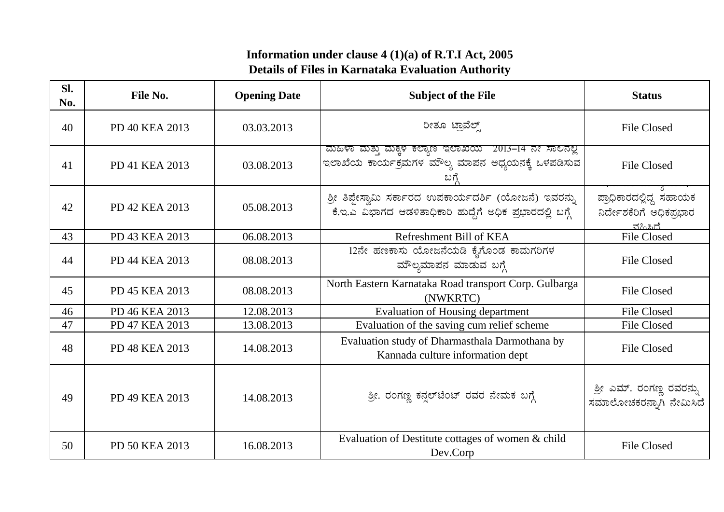| SI.<br>No. | File No.       | <b>Opening Date</b> | <b>Subject of the File</b>                                                                                                | <b>Status</b>                                                  |
|------------|----------------|---------------------|---------------------------------------------------------------------------------------------------------------------------|----------------------------------------------------------------|
| 40         | PD 40 KEA 2013 | 03.03.2013          | ರೀತೂ ಟ್ರಾವೆಲ್ಸ್                                                                                                           | <b>File Closed</b>                                             |
| 41         | PD 41 KEA 2013 | 03.08.2013          | ಮಹಿಳಾ ಮತ್ತು ಮಕ್ಕಳ ಕಲ್ಯಾಣ ಇಲಾಖೆಯ = 2013–14 ನೇ ಸಾಲಿನಲ್ಲಿ<br>ಇಲಾಖೆಯ ಕಾರ್ಯಕ್ರಮಗಳ ಮೌಲ್ಯ ಮಾಪನ ಅಧ್ಯಯನಕ್ಕೆ ಒಳಪಡಿಸುವ               | <b>File Closed</b>                                             |
| 42         | PD 42 KEA 2013 | 05.08.2013          | ಶ್ರೀ ತಿಪ್ಪೇಸ್ವಾಮಿ ಸರ್ಕಾರದ ಉಪಕಾರ್ಯದರ್ಶಿ (ಯೋಜನೆ) ಇವರನ್ನು<br>.<br>ಕೆ.ಇ.ಎ ವಿಭಾಗದ ಆಡಳಿತಾಧಿಕಾರಿ ಹುದ್ದೆಗೆ ಅಧಿಕ ಪ್ರಭಾರದಲ್ಲಿ ಬಗ್ಗೆ | ಪ್ರಾಧಿಕಾರದಲ್ಲಿದ್ದ ಸಹಾಯಕ<br>ನಿರ್ದೇಶಕೆರಿಗೆ ಅಧಿಕಪ್ರಭಾರ<br>ವಹಿಸಿದೆ |
| 43         | PD 43 KEA 2013 | 06.08.2013          | Refreshment Bill of KEA                                                                                                   | <b>File Closed</b>                                             |
| 44         | PD 44 KEA 2013 | 08.08.2013          | $\overline{12}$ ನೇ ಹಣಕಾಸು ಯೋಜನೆಯಡಿ ಕೈಗೊಂಡ ಕಾಮಗರಿಗಳ<br>ಮೌಲ್ಯಮಾಪನ ಮಾಡುವ ಬಗ್ಗೆ                                               | <b>File Closed</b>                                             |
| 45         | PD 45 KEA 2013 | 08.08.2013          | North Eastern Karnataka Road transport Corp. Gulbarga<br>(NWKRTC)                                                         | <b>File Closed</b>                                             |
| 46         | PD 46 KEA 2013 | 12.08.2013          | <b>Evaluation of Housing department</b>                                                                                   | <b>File Closed</b>                                             |
| 47         | PD 47 KEA 2013 | 13.08.2013          | Evaluation of the saving cum relief scheme                                                                                | <b>File Closed</b>                                             |
| 48         | PD 48 KEA 2013 | 14.08.2013          | Evaluation study of Dharmasthala Darmothana by<br>Kannada culture information dept                                        | <b>File Closed</b>                                             |
| 49         | PD 49 KEA 2013 | 14.08.2013          | ಶ್ರೀ. ರಂಗಣ್ಣ ಕನ್ಷಲ್ ಟೆಂಟ್ ರವರ ನೇಮಕ ಬಗ್ಗೆ                                                                                  | ಶ್ರೀ ಎಮ್. ರಂಗಣ್ಣ ರವರನ್ನು<br>ಸಮಾಲೋಚಕರನ್ನಾಗಿ ನೇಮಿಸಿದೆ            |
| 50         | PD 50 KEA 2013 | 16.08.2013          | Evaluation of Destitute cottages of women & child<br>Dev.Corp                                                             | <b>File Closed</b>                                             |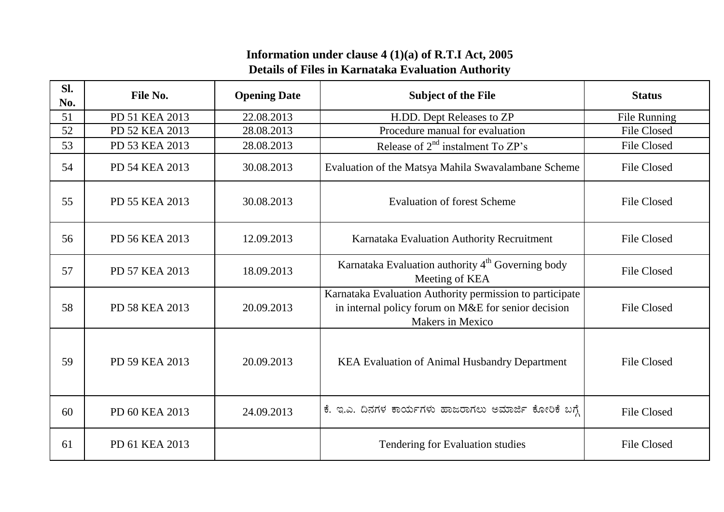| SI.<br>No. | File No.       | <b>Opening Date</b> | <b>Subject of the File</b>                                                                                                                 | <b>Status</b>      |
|------------|----------------|---------------------|--------------------------------------------------------------------------------------------------------------------------------------------|--------------------|
| 51         | PD 51 KEA 2013 | 22.08.2013          | H.DD. Dept Releases to ZP                                                                                                                  | File Running       |
| 52         | PD 52 KEA 2013 | 28.08.2013          | Procedure manual for evaluation                                                                                                            | <b>File Closed</b> |
| 53         | PD 53 KEA 2013 | 28.08.2013          | Release of $2nd$ instalment To ZP's                                                                                                        | <b>File Closed</b> |
| 54         | PD 54 KEA 2013 | 30.08.2013          | Evaluation of the Matsya Mahila Swavalambane Scheme                                                                                        | <b>File Closed</b> |
| 55         | PD 55 KEA 2013 | 30.08.2013          | <b>Evaluation of forest Scheme</b>                                                                                                         | <b>File Closed</b> |
| 56         | PD 56 KEA 2013 | 12.09.2013          | Karnataka Evaluation Authority Recruitment                                                                                                 | <b>File Closed</b> |
| 57         | PD 57 KEA 2013 | 18.09.2013          | Karnataka Evaluation authority 4 <sup>th</sup> Governing body<br>Meeting of KEA                                                            | <b>File Closed</b> |
| 58         | PD 58 KEA 2013 | 20.09.2013          | Karnataka Evaluation Authority permission to participate<br>in internal policy forum on M&E for senior decision<br><b>Makers in Mexico</b> | <b>File Closed</b> |
| 59         | PD 59 KEA 2013 | 20.09.2013          | <b>KEA Evaluation of Animal Husbandry Department</b>                                                                                       | <b>File Closed</b> |
| 60         | PD 60 KEA 2013 | 24.09.2013          | ಕೆ. ಇ.ಎ. ದಿನಗಳ ಕಾರ್ಯಗಳು ಹಾಜರಾಗಲು ಅಮಾರ್ಜಿ ಕೋರಿಕೆ ಬಗ್ಗೆ                                                                                      | <b>File Closed</b> |
| 61         | PD 61 KEA 2013 |                     | Tendering for Evaluation studies                                                                                                           | <b>File Closed</b> |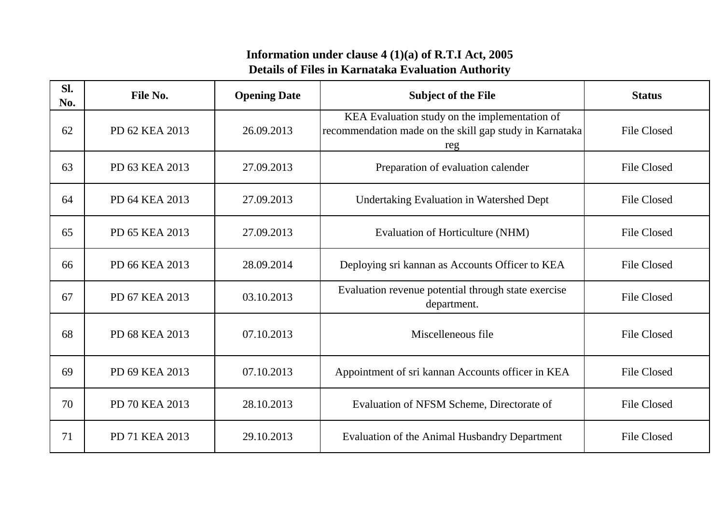| Sl.<br>No. | File No.       | <b>Opening Date</b> | <b>Subject of the File</b>                                                                                      | <b>Status</b>      |
|------------|----------------|---------------------|-----------------------------------------------------------------------------------------------------------------|--------------------|
| 62         | PD 62 KEA 2013 | 26.09.2013          | KEA Evaluation study on the implementation of<br>recommendation made on the skill gap study in Karnataka<br>reg | <b>File Closed</b> |
| 63         | PD 63 KEA 2013 | 27.09.2013          | Preparation of evaluation calender                                                                              | <b>File Closed</b> |
| 64         | PD 64 KEA 2013 | 27.09.2013          | <b>Undertaking Evaluation in Watershed Dept</b>                                                                 | <b>File Closed</b> |
| 65         | PD 65 KEA 2013 | 27.09.2013          | Evaluation of Horticulture (NHM)                                                                                | <b>File Closed</b> |
| 66         | PD 66 KEA 2013 | 28.09.2014          | Deploying sri kannan as Accounts Officer to KEA                                                                 | <b>File Closed</b> |
| 67         | PD 67 KEA 2013 | 03.10.2013          | Evaluation revenue potential through state exercise<br>department.                                              | <b>File Closed</b> |
| 68         | PD 68 KEA 2013 | 07.10.2013          | Miscelleneous file                                                                                              | <b>File Closed</b> |
| 69         | PD 69 KEA 2013 | 07.10.2013          | Appointment of sri kannan Accounts officer in KEA                                                               | <b>File Closed</b> |
| 70         | PD 70 KEA 2013 | 28.10.2013          | Evaluation of NFSM Scheme, Directorate of                                                                       | <b>File Closed</b> |
| 71         | PD 71 KEA 2013 | 29.10.2013          | Evaluation of the Animal Husbandry Department                                                                   | <b>File Closed</b> |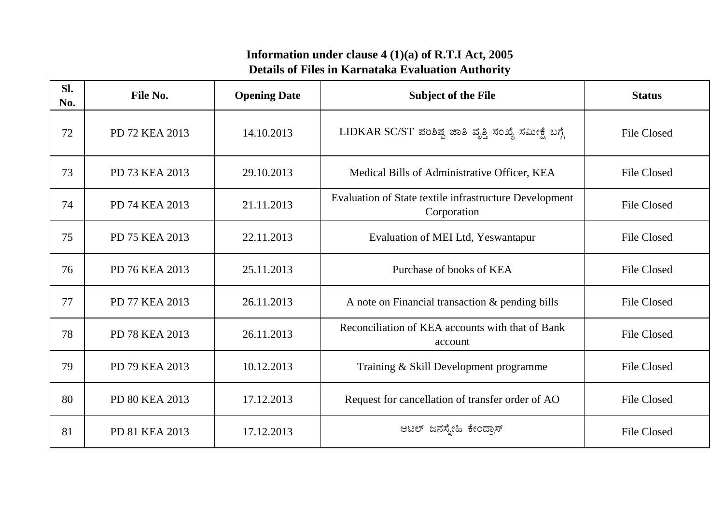| SI.<br>No. | File No.       | <b>Opening Date</b> | <b>Subject of the File</b>                                            | <b>Status</b>      |
|------------|----------------|---------------------|-----------------------------------------------------------------------|--------------------|
| 72         | PD 72 KEA 2013 | 14.10.2013          | LIDKAR SC/ST ಪರಿಶಿಷ್ಠ ಜಾತಿ ವೃತ್ತಿ ಸಂಖ್ಯೆ ಸಮೀಕ್ಷೆ ಬಗ್ಗೆ                | <b>File Closed</b> |
| 73         | PD 73 KEA 2013 | 29.10.2013          | Medical Bills of Administrative Officer, KEA                          | <b>File Closed</b> |
| 74         | PD 74 KEA 2013 | 21.11.2013          | Evaluation of State textile infrastructure Development<br>Corporation | <b>File Closed</b> |
| 75         | PD 75 KEA 2013 | 22.11.2013          | Evaluation of MEI Ltd, Yeswantapur                                    | <b>File Closed</b> |
| 76         | PD 76 KEA 2013 | 25.11.2013          | Purchase of books of KEA                                              | <b>File Closed</b> |
| 77         | PD 77 KEA 2013 | 26.11.2013          | A note on Financial transaction & pending bills                       | <b>File Closed</b> |
| 78         | PD 78 KEA 2013 | 26.11.2013          | Reconciliation of KEA accounts with that of Bank<br>account           | <b>File Closed</b> |
| 79         | PD 79 KEA 2013 | 10.12.2013          | Training & Skill Development programme                                | <b>File Closed</b> |
| 80         | PD 80 KEA 2013 | 17.12.2013          | Request for cancellation of transfer order of AO                      | <b>File Closed</b> |
| 81         | PD 81 KEA 2013 | 17.12.2013          | ಆಟಲ್ ಜನಸ್ನೇಹಿ ಕೇಂದ್ರಾಸ್                                               | <b>File Closed</b> |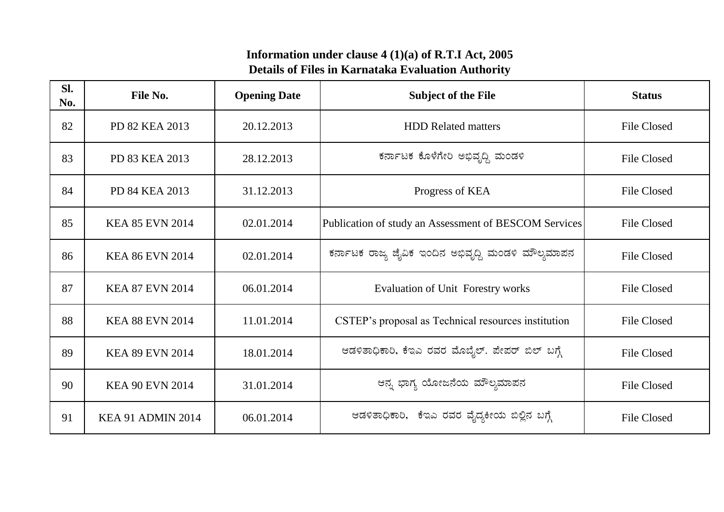| SI.<br>No. | File No.                 | <b>Opening Date</b> | <b>Subject of the File</b>                            | <b>Status</b>      |
|------------|--------------------------|---------------------|-------------------------------------------------------|--------------------|
| 82         | PD 82 KEA 2013           | 20.12.2013          | <b>HDD Related matters</b>                            | <b>File Closed</b> |
| 83         | PD 83 KEA 2013           | 28.12.2013          | ಕರ್ನಾಟಕ ಕೊಳೆಗೇರಿ ಅಭಿವೃದ್ಧಿ ಮಂಡಳಿ                      | <b>File Closed</b> |
| 84         | PD 84 KEA 2013           | 31.12.2013          | Progress of KEA                                       | <b>File Closed</b> |
| 85         | <b>KEA 85 EVN 2014</b>   | 02.01.2014          | Publication of study an Assessment of BESCOM Services | <b>File Closed</b> |
| 86         | <b>KEA 86 EVN 2014</b>   | 02.01.2014          | ಕರ್ನಾಟಕ ರಾಜ್ಯ ಜೈವಿಕ ಇಂದಿನ ಅಭಿವೃದ್ಧಿ ಮಂಡಳಿ ಮೌಲ್ಯಮಾಪನ   | <b>File Closed</b> |
| 87         | <b>KEA 87 EVN 2014</b>   | 06.01.2014          | <b>Evaluation of Unit Forestry works</b>              | <b>File Closed</b> |
| 88         | <b>KEA 88 EVN 2014</b>   | 11.01.2014          | CSTEP's proposal as Technical resources institution   | <b>File Closed</b> |
| 89         | <b>KEA 89 EVN 2014</b>   | 18.01.2014          | ಆಡಳಿತಾಧಿಕಾರಿ, ಕೆಇಎ ರವರ ಮೊಬೈಲ್. ಪೇಪರ್ ಬಿಲ್ ಬಗ್ಗೆ       | <b>File Closed</b> |
| 90         | <b>KEA 90 EVN 2014</b>   | 31.01.2014          | ಆನ್ನ ಭಾಗ್ಯ ಯೋಜನೆಯ ಮೌಲ್ಯಮಾಪನ                           | <b>File Closed</b> |
| 91         | <b>KEA 91 ADMIN 2014</b> | 06.01.2014          | ಆಡಳಿತಾಧಿಕಾರಿ, ಕೆಇಎ ರವರ ವೈದ್ಯಕೀಯ ಬಿಲ್ಲಿನ ಬಗ್ಗೆ         | <b>File Closed</b> |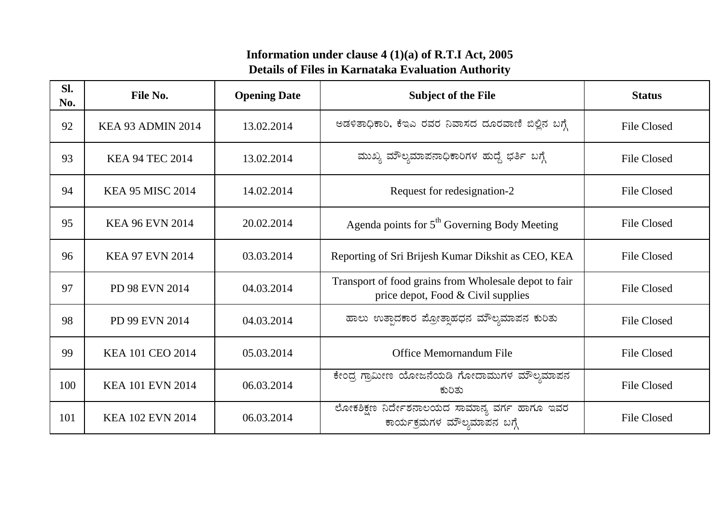| Sl.<br>No. | File No.                 | <b>Opening Date</b> | <b>Subject of the File</b>                                                                  | <b>Status</b>      |
|------------|--------------------------|---------------------|---------------------------------------------------------------------------------------------|--------------------|
| 92         | <b>KEA 93 ADMIN 2014</b> | 13.02.2014          | ಅಡಳಿತಾಧಿಕಾರಿ, ಕೆಇಎ ರವರ ನಿವಾಸದ ದೂರವಾಣಿ ಬಿಲ್ಲಿನ ಬಗ್ಗೆ                                         | File Closed        |
| 93         | <b>KEA 94 TEC 2014</b>   | 13.02.2014          | ಮುಖ್ಯ ಮೌಲ್ಯಮಾಪನಾಧಿಕಾರಿಗಳ ಹುದ್ದೆ ಭರ್ತಿ ಬಗ್ಗೆ                                                 | <b>File Closed</b> |
| 94         | <b>KEA 95 MISC 2014</b>  | 14.02.2014          | Request for redesignation-2                                                                 | <b>File Closed</b> |
| 95         | <b>KEA 96 EVN 2014</b>   | 20.02.2014          | Agenda points for $5th$ Governing Body Meeting                                              | <b>File Closed</b> |
| 96         | <b>KEA 97 EVN 2014</b>   | 03.03.2014          | Reporting of Sri Brijesh Kumar Dikshit as CEO, KEA                                          | <b>File Closed</b> |
| 97         | PD 98 EVN 2014           | 04.03.2014          | Transport of food grains from Wholesale depot to fair<br>price depot, Food & Civil supplies | <b>File Closed</b> |
| 98         | PD 99 EVN 2014           | 04.03.2014          | ಹಾಲು ಉತ್ಪಾದಕಾರ ಪ್ರೋತ್ಪಾಹಧನ ಮೌಲ್ಯಮಾಪನ ಕುರಿತು                                                 | <b>File Closed</b> |
| 99         | KEA 101 CEO 2014         | 05.03.2014          | <b>Office Memornandum File</b>                                                              | <b>File Closed</b> |
| 100        | <b>KEA 101 EVN 2014</b>  | 06.03.2014          | ಕೇಂದ್ರ ಗ್ರಾಮೀಣ ಯೋಜನೆಯಡಿ ಗೋದಾಮುಗಳ ಮೌಲ್ಯಮಾಪನ<br>ಕುರಿತು                                        | <b>File Closed</b> |
| 101        | KEA 102 EVN 2014         | 06.03.2014          | ಲೋಕಶಿಕ್ಷಣ ನಿರ್ದೇಶನಾಲಯದ ಸಾಮಾನ್ಯ ವರ್ಗ ಹಾಗೂ ಇವರ<br>ಕಾರ್ಯಕ್ರಮಗಳ ಮೌಲ್ಯಮಾಪನ ಬಗ್ಗೆ                 | <b>File Closed</b> |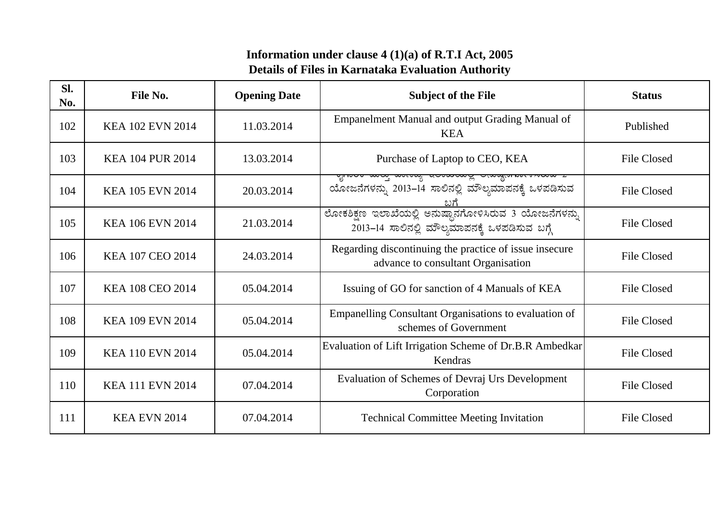| Sl.<br>No. | File No.                | <b>Opening Date</b> | <b>Subject of the File</b>                                                                                                   | <b>Status</b>      |
|------------|-------------------------|---------------------|------------------------------------------------------------------------------------------------------------------------------|--------------------|
| 102        | <b>KEA 102 EVN 2014</b> | 11.03.2014          | Empanelment Manual and output Grading Manual of<br><b>KEA</b>                                                                | Published          |
| 103        | <b>KEA 104 PUR 2014</b> | 13.03.2014          | Purchase of Laptop to CEO, KEA                                                                                               | <b>File Closed</b> |
| 104        | <b>KEA 105 EVN 2014</b> | 20.03.2014          | <del>anna sa mikawa Kanana z</del><br><del>worow,</del><br>ಯೋಜನೆಗಳನ್ನು 2013-14 ಸಾಲಿನಲ್ಲಿ ಮೌಲ್ಯಮಾಪನಕ್ಕೆ ಒಳಪಡಿಸುವ<br><u>ಬಗ</u> | <b>File Closed</b> |
| 105        | <b>KEA 106 EVN 2014</b> | 21.03.2014          | _<br>ಲೋಕಶಿಕ್ಷಣ ಇಲಾಖೆಯಲ್ಲಿ ಅನುಷ್ಗಾನಗೋಳಿಸಿರುವ 3 ಯೋಜನೆಗಳನ್ನು<br>2013-14 ಸಾಲಿನಲ್ಲಿ ಮೌಲ್ಯಮಾಪನಕ್ಕೆ ಒಳಪಡಿಸುವ ಬಗ್ಗೆ                  | <b>File Closed</b> |
| 106        | KEA 107 CEO 2014        | 24.03.2014          | Regarding discontinuing the practice of issue insecure<br>advance to consultant Organisation                                 | <b>File Closed</b> |
| 107        | KEA 108 CEO 2014        | 05.04.2014          | Issuing of GO for sanction of 4 Manuals of KEA                                                                               | <b>File Closed</b> |
| 108        | <b>KEA 109 EVN 2014</b> | 05.04.2014          | Empanelling Consultant Organisations to evaluation of<br>schemes of Government                                               | <b>File Closed</b> |
| 109        | <b>KEA 110 EVN 2014</b> | 05.04.2014          | Evaluation of Lift Irrigation Scheme of Dr.B.R Ambedkar<br>Kendras                                                           | <b>File Closed</b> |
| 110        | <b>KEA 111 EVN 2014</b> | 07.04.2014          | Evaluation of Schemes of Devraj Urs Development<br>Corporation                                                               | <b>File Closed</b> |
| 111        | <b>KEA EVN 2014</b>     | 07.04.2014          | <b>Technical Committee Meeting Invitation</b>                                                                                | <b>File Closed</b> |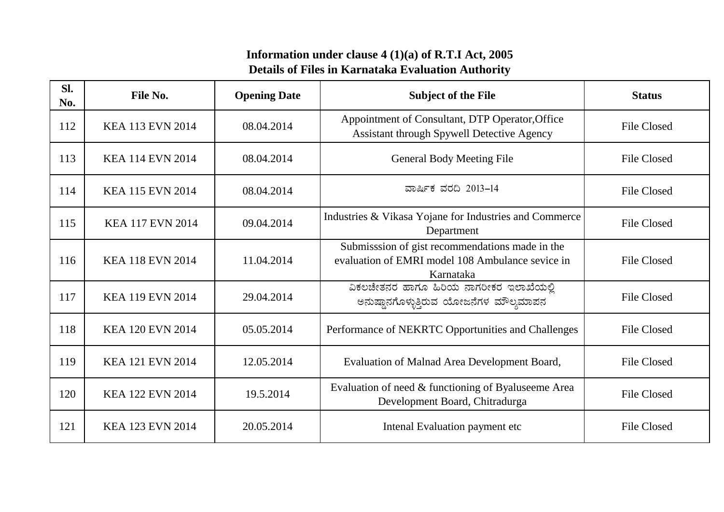| SI.<br>No. | <b>File No.</b>         | <b>Opening Date</b> | <b>Subject of the File</b>                                                                                       | <b>Status</b>      |
|------------|-------------------------|---------------------|------------------------------------------------------------------------------------------------------------------|--------------------|
| 112        | <b>KEA 113 EVN 2014</b> | 08.04.2014          | Appointment of Consultant, DTP Operator, Office<br><b>Assistant through Spywell Detective Agency</b>             | <b>File Closed</b> |
| 113        | <b>KEA 114 EVN 2014</b> | 08.04.2014          | <b>General Body Meeting File</b>                                                                                 | <b>File Closed</b> |
| 114        | KEA 115 EVN 2014        | 08.04.2014          | ವಾರ್ಷಿಕ ವರದಿ 2013-14                                                                                             | <b>File Closed</b> |
| 115        | <b>KEA 117 EVN 2014</b> | 09.04.2014          | Industries & Vikasa Yojane for Industries and Commerce<br>Department                                             | <b>File Closed</b> |
| 116        | <b>KEA 118 EVN 2014</b> | 11.04.2014          | Submisssion of gist recommendations made in the<br>evaluation of EMRI model 108 Ambulance sevice in<br>Karnataka | <b>File Closed</b> |
| 117        | KEA 119 EVN 2014        | 29.04.2014          | ವಿಕಲಚೇತನರ ಹಾಗೂ ಹಿರಿಯ ನಾಗರೀಕರ ಇಲಾಖೆಯಲ್ಲಿ<br>ಅನುಷ್ಠಾನಗೊಳ್ಳುತ್ತಿರುವ ಯೋಜನೆಗಳ ಮೌಲ್ಯಮಾಪನ                               | <b>File Closed</b> |
| 118        | KEA 120 EVN 2014        | 05.05.2014          | Performance of NEKRTC Opportunities and Challenges                                                               | <b>File Closed</b> |
| 119        | <b>KEA 121 EVN 2014</b> | 12.05.2014          | Evaluation of Malnad Area Development Board,                                                                     | <b>File Closed</b> |
| 120        | <b>KEA 122 EVN 2014</b> | 19.5.2014           | Evaluation of need & functioning of Byaluseeme Area<br>Development Board, Chitradurga                            | <b>File Closed</b> |
| 121        | <b>KEA 123 EVN 2014</b> | 20.05.2014          | Intenal Evaluation payment etc                                                                                   | <b>File Closed</b> |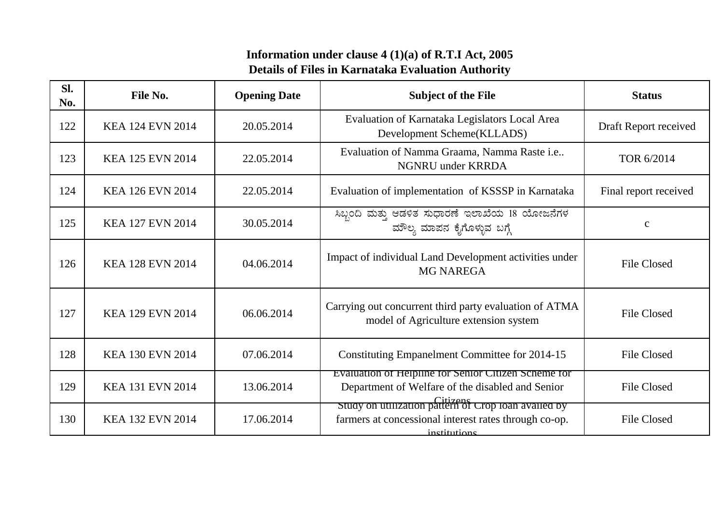| SI.<br>No. | File No.                | <b>Opening Date</b> | <b>Subject of the File</b>                                                                                                    | <b>Status</b>         |
|------------|-------------------------|---------------------|-------------------------------------------------------------------------------------------------------------------------------|-----------------------|
| 122        | <b>KEA 124 EVN 2014</b> | 20.05.2014          | Evaluation of Karnataka Legislators Local Area<br>Development Scheme(KLLADS)                                                  | Draft Report received |
| 123        | <b>KEA 125 EVN 2014</b> | 22.05.2014          | Evaluation of Namma Graama, Namma Raste i.e<br>NGNRU under KRRDA                                                              | TOR 6/2014            |
| 124        | <b>KEA 126 EVN 2014</b> | 22.05.2014          | Evaluation of implementation of KSSSP in Karnataka                                                                            | Final report received |
| 125        | <b>KEA 127 EVN 2014</b> | 30.05.2014          | ಸಿಬ್ಬಂದಿ ಮತ್ತು ಆಡಳಿತ ಸುಧಾರಣೆ ಇಲಾಖೆಯ 18 ಯೋಜನೆಗಳ<br>ಮೌಲ್ಯ ಮಾಪನ ಕೈಗೊಳ್ಳುವ ಬಗ್ಗೆ                                                  | $\mathbf c$           |
| 126        | <b>KEA 128 EVN 2014</b> | 04.06.2014          | Impact of individual Land Development activities under<br><b>MG NAREGA</b>                                                    | <b>File Closed</b>    |
| 127        | <b>KEA 129 EVN 2014</b> | 06.06.2014          | Carrying out concurrent third party evaluation of ATMA<br>model of Agriculture extension system                               | <b>File Closed</b>    |
| 128        | <b>KEA 130 EVN 2014</b> | 07.06.2014          | Constituting Empanelment Committee for 2014-15                                                                                | <b>File Closed</b>    |
| 129        | <b>KEA 131 EVN 2014</b> | 13.06.2014          | Evaluation of Helpline for Senior Citizen Scheme for<br>Department of Welfare of the disabled and Senior                      | <b>File Closed</b>    |
| 130        | <b>KEA 132 EVN 2014</b> | 17.06.2014          | Study on utilization pattern of Crop Ioan availed by<br>farmers at concessional interest rates through co-op.<br>institutions | <b>File Closed</b>    |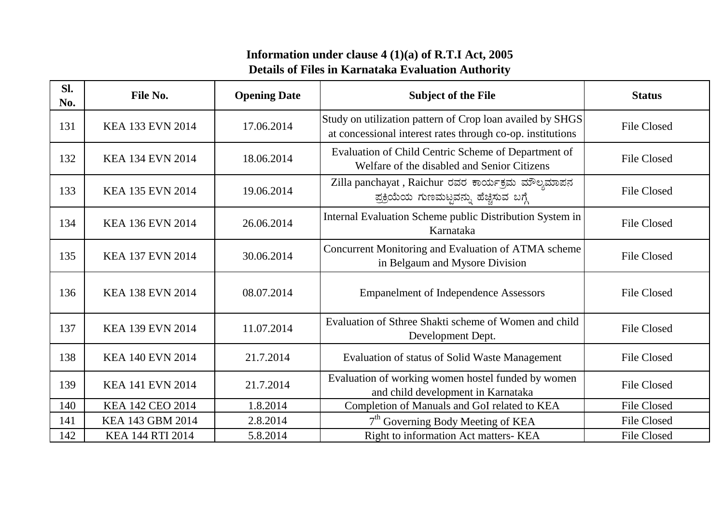| SI.<br>No. | <b>File No.</b>         | <b>Opening Date</b> | <b>Subject of the File</b>                                                                                              | <b>Status</b>      |
|------------|-------------------------|---------------------|-------------------------------------------------------------------------------------------------------------------------|--------------------|
| 131        | <b>KEA 133 EVN 2014</b> | 17.06.2014          | Study on utilization pattern of Crop loan availed by SHGS<br>at concessional interest rates through co-op. institutions | <b>File Closed</b> |
| 132        | <b>KEA 134 EVN 2014</b> | 18.06.2014          | Evaluation of Child Centric Scheme of Department of<br>Welfare of the disabled and Senior Citizens                      | <b>File Closed</b> |
| 133        | <b>KEA 135 EVN 2014</b> | 19.06.2014          | Zilla panchayat, Raichur ರವರ ಕಾರ್ಯಕ್ರಮ ಮೌಲ್ಯಮಾಪನ<br>ಪ್ರಕ್ರಿಯೆಯ ಗುಣಮಟ್ಟವನ್ನು ಹೆಚ್ಚಿಸುವ ಬಗ್ಗೆ                             | <b>File Closed</b> |
| 134        | KEA 136 EVN 2014        | 26.06.2014          | Internal Evaluation Scheme public Distribution System in<br>Karnataka                                                   | <b>File Closed</b> |
| 135        | <b>KEA 137 EVN 2014</b> | 30.06.2014          | Concurrent Monitoring and Evaluation of ATMA scheme<br>in Belgaum and Mysore Division                                   | <b>File Closed</b> |
| 136        | <b>KEA 138 EVN 2014</b> | 08.07.2014          | <b>Empanelment of Independence Assessors</b>                                                                            | <b>File Closed</b> |
| 137        | <b>KEA 139 EVN 2014</b> | 11.07.2014          | Evaluation of Sthree Shakti scheme of Women and child<br>Development Dept.                                              | <b>File Closed</b> |
| 138        | <b>KEA 140 EVN 2014</b> | 21.7.2014           | Evaluation of status of Solid Waste Management                                                                          | <b>File Closed</b> |
| 139        | <b>KEA 141 EVN 2014</b> | 21.7.2014           | Evaluation of working women hostel funded by women<br>and child development in Karnataka                                | <b>File Closed</b> |
| 140        | KEA 142 CEO 2014        | 1.8.2014            | Completion of Manuals and GoI related to KEA                                                                            | <b>File Closed</b> |
| 141        | KEA 143 GBM 2014        | 2.8.2014            | 7 <sup>th</sup> Governing Body Meeting of KEA                                                                           | <b>File Closed</b> |
| 142        | KEA 144 RTI 2014        | 5.8.2014            | Right to information Act matters- KEA                                                                                   | <b>File Closed</b> |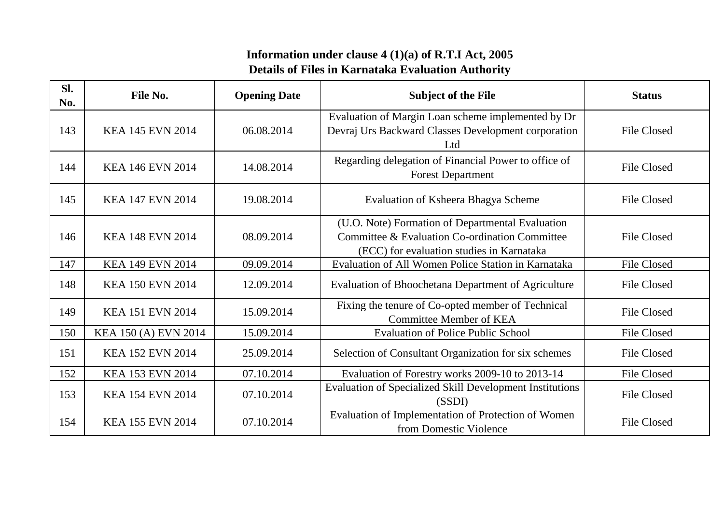| SI.<br>No. | <b>File No.</b>         | <b>Opening Date</b> | <b>Subject of the File</b>                                                                                                                      | <b>Status</b>      |
|------------|-------------------------|---------------------|-------------------------------------------------------------------------------------------------------------------------------------------------|--------------------|
| 143        | <b>KEA 145 EVN 2014</b> | 06.08.2014          | Evaluation of Margin Loan scheme implemented by Dr<br>Devraj Urs Backward Classes Development corporation<br>Ltd                                | <b>File Closed</b> |
| 144        | <b>KEA 146 EVN 2014</b> | 14.08.2014          | Regarding delegation of Financial Power to office of<br><b>Forest Department</b>                                                                | <b>File Closed</b> |
| 145        | <b>KEA 147 EVN 2014</b> | 19.08.2014          | Evaluation of Ksheera Bhagya Scheme                                                                                                             | <b>File Closed</b> |
| 146        | <b>KEA 148 EVN 2014</b> | 08.09.2014          | (U.O. Note) Formation of Departmental Evaluation<br>Committee & Evaluation Co-ordination Committee<br>(ECC) for evaluation studies in Karnataka | <b>File Closed</b> |
| 147        | KEA 149 EVN 2014        | 09.09.2014          | Evaluation of All Women Police Station in Karnataka                                                                                             | <b>File Closed</b> |
| 148        | <b>KEA 150 EVN 2014</b> | 12.09.2014          | Evaluation of Bhoochetana Department of Agriculture                                                                                             | <b>File Closed</b> |
| 149        | <b>KEA 151 EVN 2014</b> | 15.09.2014          | Fixing the tenure of Co-opted member of Technical<br><b>Committee Member of KEA</b>                                                             | <b>File Closed</b> |
| 150        | KEA 150 (A) EVN 2014    | 15.09.2014          | <b>Evaluation of Police Public School</b>                                                                                                       | <b>File Closed</b> |
| 151        | <b>KEA 152 EVN 2014</b> | 25.09.2014          | Selection of Consultant Organization for six schemes                                                                                            | <b>File Closed</b> |
| 152        | KEA 153 EVN 2014        | 07.10.2014          | Evaluation of Forestry works 2009-10 to 2013-14                                                                                                 | File Closed        |
| 153        | <b>KEA 154 EVN 2014</b> | 07.10.2014          | <b>Evaluation of Specialized Skill Development Institutions</b><br>(SSDI)                                                                       | File Closed        |
| 154        | <b>KEA 155 EVN 2014</b> | 07.10.2014          | Evaluation of Implementation of Protection of Women<br>from Domestic Violence                                                                   | <b>File Closed</b> |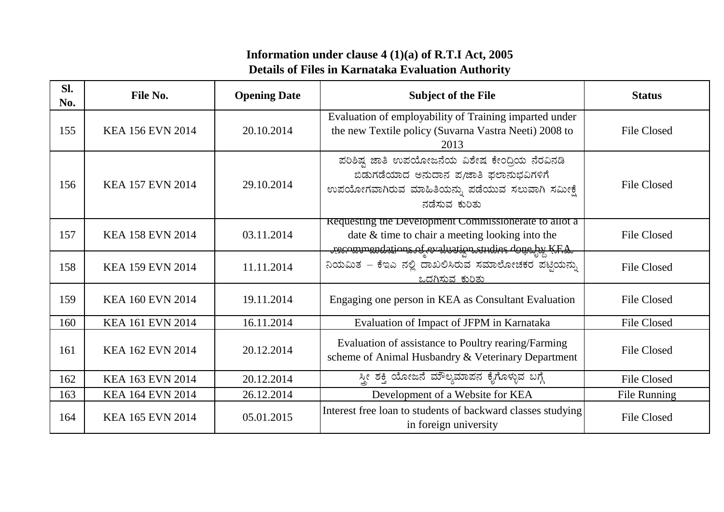| SI.<br>No. | File No.                | <b>Opening Date</b> | <b>Subject of the File</b>                                                                                                                                    | <b>Status</b>      |
|------------|-------------------------|---------------------|---------------------------------------------------------------------------------------------------------------------------------------------------------------|--------------------|
| 155        | KEA 156 EVN 2014        | 20.10.2014          | Evaluation of employability of Training imparted under<br>the new Textile policy (Suvarna Vastra Neeti) 2008 to<br>2013                                       | <b>File Closed</b> |
| 156        | KEA 157 EVN 2014        | 29.10.2014          | ಪರಿಶಿಷ್ಟ ಜಾತಿ ಉಪಯೋಜನೆಯ ವಿಶೇಷ ಕೇಂದ್ರಿಯ ನೆರವಿನಡಿ<br>ಬಿಡುಗಡೆಯಾದ ಅನುದಾನ ಪ/ಜಾತಿ ಫಲಾನುಭವಿಗಳಿಗೆ<br>ಉಪಯೋಗವಾಗಿರುವ ಮಾಹಿತಿಯನ್ನು ಪಡೆಯುವ ಸಲುವಾಗಿ ಸಮೀಕ್ಷೆ<br>ನಡೆಸುವ ಕುರಿತು  | <b>File Closed</b> |
| 157        | KEA 158 EVN 2014        | 03.11.2014          | Requesting the Development Commissionerate to allot a<br>date $&$ time to chair a meeting looking into the<br>wernmengstiour of en spation rengies doubly KHA | <b>File Closed</b> |
| 158        | <b>KEA 159 EVN 2014</b> | 11.11.2014          | ನಿಯಮಿತ – ಕೆಇಎ ನಲ್ಲಿ ದಾಖಲಿಸಿರುವ ಸಮಾಲೋಚಕರ ಪಟ್ಟಿಯನ್ನು<br>ಒದಗಿಸುವ ಕುರಿತು                                                                                          | <b>File Closed</b> |
| 159        | KEA 160 EVN 2014        | 19.11.2014          | Engaging one person in KEA as Consultant Evaluation                                                                                                           | <b>File Closed</b> |
| 160        | <b>KEA 161 EVN 2014</b> | 16.11.2014          | Evaluation of Impact of JFPM in Karnataka                                                                                                                     | <b>File Closed</b> |
| 161        | KEA 162 EVN 2014        | 20.12.2014          | Evaluation of assistance to Poultry rearing/Farming<br>scheme of Animal Husbandry & Veterinary Department                                                     | <b>File Closed</b> |
| 162        | KEA 163 EVN 2014        | 20.12.2014          | ಸ್ತ್ರೀ ಶಕ್ತಿ ಯೋಜನೆ ಮೌಲ್ಯಮಾಪನ ಕೈಗೊಳ್ಳುವ ಬಗ್ಗೆ                                                                                                                  | <b>File Closed</b> |
| 163        | <b>KEA 164 EVN 2014</b> | 26.12.2014          | Development of a Website for KEA                                                                                                                              | File Running       |
| 164        | <b>KEA 165 EVN 2014</b> | 05.01.2015          | Interest free loan to students of backward classes studying<br>in foreign university                                                                          | <b>File Closed</b> |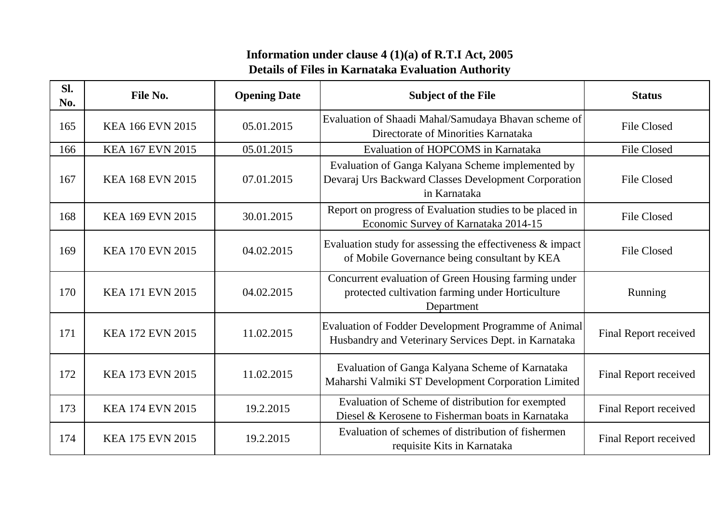| Sl.<br>No. | File No.                | <b>Opening Date</b> | <b>Subject of the File</b>                                                                                                | <b>Status</b>         |
|------------|-------------------------|---------------------|---------------------------------------------------------------------------------------------------------------------------|-----------------------|
| 165        | <b>KEA 166 EVN 2015</b> | 05.01.2015          | Evaluation of Shaadi Mahal/Samudaya Bhavan scheme of<br>Directorate of Minorities Karnataka                               | <b>File Closed</b>    |
| 166        | KEA 167 EVN 2015        | 05.01.2015          | Evaluation of HOPCOMS in Karnataka                                                                                        | File Closed           |
| 167        | <b>KEA 168 EVN 2015</b> | 07.01.2015          | Evaluation of Ganga Kalyana Scheme implemented by<br>Devaraj Urs Backward Classes Development Corporation<br>in Karnataka | <b>File Closed</b>    |
| 168        | KEA 169 EVN 2015        | 30.01.2015          | Report on progress of Evaluation studies to be placed in<br>Economic Survey of Karnataka 2014-15                          | <b>File Closed</b>    |
| 169        | <b>KEA 170 EVN 2015</b> | 04.02.2015          | Evaluation study for assessing the effectiveness $\&$ impact<br>of Mobile Governance being consultant by KEA              | <b>File Closed</b>    |
| 170        | <b>KEA 171 EVN 2015</b> | 04.02.2015          | Concurrent evaluation of Green Housing farming under<br>protected cultivation farming under Horticulture<br>Department    | Running               |
| 171        | <b>KEA 172 EVN 2015</b> | 11.02.2015          | Evaluation of Fodder Development Programme of Animal<br>Husbandry and Veterinary Services Dept. in Karnataka              | Final Report received |
| 172        | <b>KEA 173 EVN 2015</b> | 11.02.2015          | Evaluation of Ganga Kalyana Scheme of Karnataka<br>Maharshi Valmiki ST Development Corporation Limited                    | Final Report received |
| 173        | <b>KEA 174 EVN 2015</b> | 19.2.2015           | Evaluation of Scheme of distribution for exempted<br>Diesel & Kerosene to Fisherman boats in Karnataka                    | Final Report received |
| 174        | <b>KEA 175 EVN 2015</b> | 19.2.2015           | Evaluation of schemes of distribution of fishermen<br>requisite Kits in Karnataka                                         | Final Report received |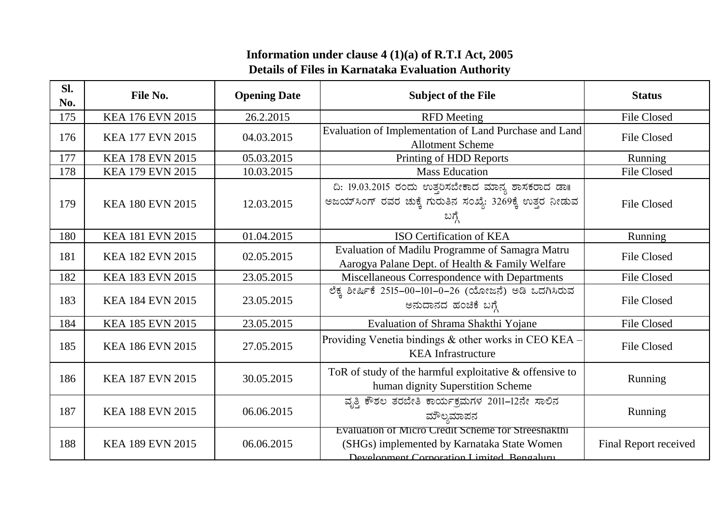| SI.<br>No. | File No.                | <b>Opening Date</b> | <b>Subject of the File</b>                                                                                                                     | <b>Status</b>         |
|------------|-------------------------|---------------------|------------------------------------------------------------------------------------------------------------------------------------------------|-----------------------|
| 175        | <b>KEA 176 EVN 2015</b> | 26.2.2015           | <b>RFD</b> Meeting                                                                                                                             | <b>File Closed</b>    |
| 176        | <b>KEA 177 EVN 2015</b> | 04.03.2015          | Evaluation of Implementation of Land Purchase and Land<br><b>Allotment Scheme</b>                                                              | <b>File Closed</b>    |
| 177        | <b>KEA 178 EVN 2015</b> | 05.03.2015          | Printing of HDD Reports                                                                                                                        | Running               |
| 178        | <b>KEA 179 EVN 2015</b> | 10.03.2015          | <b>Mass Education</b>                                                                                                                          | <b>File Closed</b>    |
| 179        | <b>KEA 180 EVN 2015</b> | 12.03.2015          | ದಿ: 19.03.2015 ರಂದು ಉತ್ಸರಿಸಬೇಕಾದ ಮಾನ್ಯ ಶಾಸಕರಾದ ಡಾ<br>ಅಜಯ್ಸಿಂಗ್ ರವರ ಚುಕ್ಕೆ ಗುರುತಿನ ಸಂಖ್ಯೆ: 3269ಕ್ಕೆ ಉತ್ತರ ನೀಡುವ<br>ಬಗ್ಗೆ                        | <b>File Closed</b>    |
| 180        | <b>KEA 181 EVN 2015</b> | 01.04.2015          | <b>ISO Certification of KEA</b>                                                                                                                | Running               |
| 181        | <b>KEA 182 EVN 2015</b> | 02.05.2015          | Evaluation of Madilu Programme of Samagra Matru<br>Aarogya Palane Dept. of Health & Family Welfare                                             | <b>File Closed</b>    |
| 182        | <b>KEA 183 EVN 2015</b> | 23.05.2015          | Miscellaneous Correspondence with Departments                                                                                                  | <b>File Closed</b>    |
| 183        | <b>KEA 184 EVN 2015</b> | 23.05.2015          | ಲೆಕ್ಕ ಶೀರ್ಷಿಕೆ 2515-00- $\overline{101-0-26}$ (ಯೋಜನೆ) ಅಡಿ ಒದಗಿಸಿರುವ<br>ಅನುದಾನದ ಹಂಚಿಕೆ ಬಗ್ಗೆ                                                    | <b>File Closed</b>    |
| 184        | <b>KEA 185 EVN 2015</b> | 23.05.2015          | Evaluation of Shrama Shakthi Yojane                                                                                                            | <b>File Closed</b>    |
| 185        | <b>KEA 186 EVN 2015</b> | 27.05.2015          | Providing Venetia bindings & other works in CEO KEA -<br><b>KEA</b> Infrastructure                                                             | <b>File Closed</b>    |
| 186        | <b>KEA 187 EVN 2015</b> | 30.05.2015          | To R of study of the harmful exploitative $\&$ offensive to<br>human dignity Superstition Scheme                                               | Running               |
| 187        | <b>KEA 188 EVN 2015</b> | 06.06.2015          | ವೃತ್ತಿ ಕೌಶಲ ತರಬೇತಿ ಕಾರ್ಯಕ್ರಮಗಳ 2011-12ನೇ ಸಾಲಿನ<br>ಮೌಲ್ಯಮಾಪನ                                                                                    | Running               |
| 188        | <b>KEA 189 EVN 2015</b> | 06.06.2015          | Evaluation of Micro Credit Scheme for Streeshakthi<br>(SHGs) implemented by Karnataka State Women<br>Development Cornoration Limited Rengaluru | Final Report received |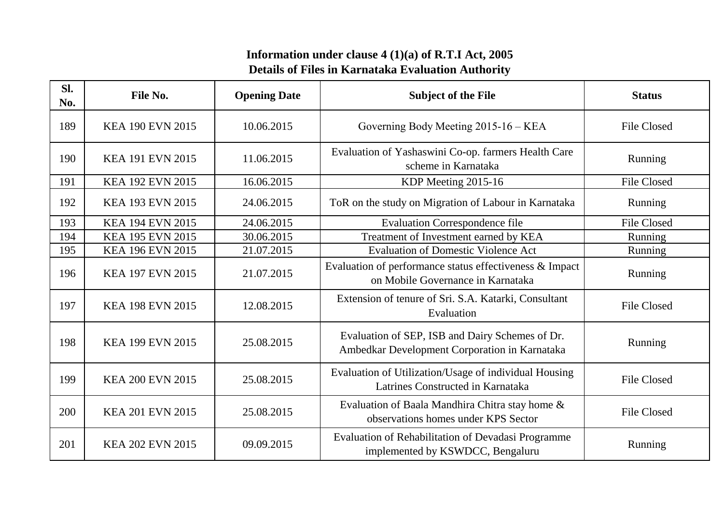| Sl.<br>No. | File No.                | <b>Opening Date</b> | <b>Subject of the File</b>                                                                       | <b>Status</b>      |
|------------|-------------------------|---------------------|--------------------------------------------------------------------------------------------------|--------------------|
| 189        | KEA 190 EVN 2015        | 10.06.2015          | Governing Body Meeting 2015-16 - KEA                                                             | <b>File Closed</b> |
| 190        | <b>KEA 191 EVN 2015</b> | 11.06.2015          | Evaluation of Yashaswini Co-op. farmers Health Care<br>scheme in Karnataka                       | Running            |
| 191        | KEA 192 EVN 2015        | 16.06.2015          | KDP Meeting 2015-16                                                                              | <b>File Closed</b> |
| 192        | KEA 193 EVN 2015        | 24.06.2015          | ToR on the study on Migration of Labour in Karnataka                                             | Running            |
| 193        | <b>KEA 194 EVN 2015</b> | 24.06.2015          | <b>Evaluation Correspondence file</b>                                                            | <b>File Closed</b> |
| 194        | KEA 195 EVN 2015        | 30.06.2015          | Treatment of Investment earned by KEA                                                            | Running            |
| 195        | KEA 196 EVN 2015        | 21.07.2015          | <b>Evaluation of Domestic Violence Act</b>                                                       | Running            |
| 196        | <b>KEA 197 EVN 2015</b> | 21.07.2015          | Evaluation of performance status effectiveness & Impact<br>on Mobile Governance in Karnataka     | Running            |
| 197        | <b>KEA 198 EVN 2015</b> | 12.08.2015          | Extension of tenure of Sri. S.A. Katarki, Consultant<br>Evaluation                               | <b>File Closed</b> |
| 198        | <b>KEA 199 EVN 2015</b> | 25.08.2015          | Evaluation of SEP, ISB and Dairy Schemes of Dr.<br>Ambedkar Development Corporation in Karnataka | Running            |
| 199        | <b>KEA 200 EVN 2015</b> | 25.08.2015          | Evaluation of Utilization/Usage of individual Housing<br>Latrines Constructed in Karnataka       | <b>File Closed</b> |
| 200        | <b>KEA 201 EVN 2015</b> | 25.08.2015          | Evaluation of Baala Mandhira Chitra stay home &<br>observations homes under KPS Sector           | <b>File Closed</b> |
| 201        | <b>KEA 202 EVN 2015</b> | 09.09.2015          | Evaluation of Rehabilitation of Devadasi Programme<br>implemented by KSWDCC, Bengaluru           | Running            |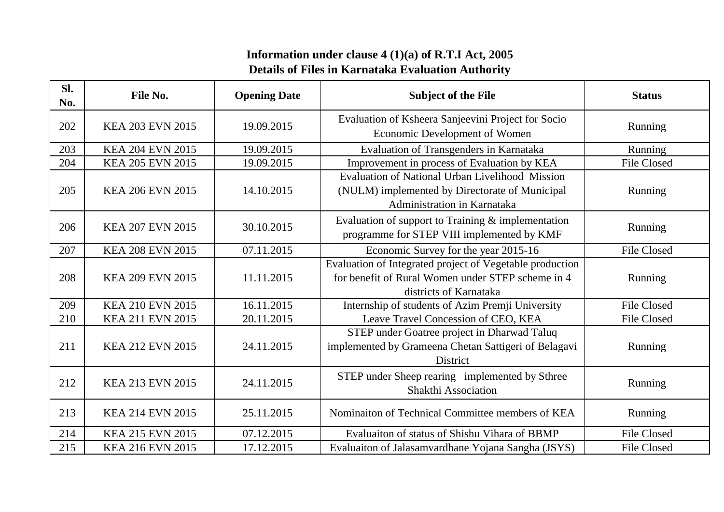| SI.<br>No. | File No.                | <b>Opening Date</b> | <b>Subject of the File</b>                                                                                                              | <b>Status</b>      |
|------------|-------------------------|---------------------|-----------------------------------------------------------------------------------------------------------------------------------------|--------------------|
| 202        | <b>KEA 203 EVN 2015</b> | 19.09.2015          | Evaluation of Ksheera Sanjeevini Project for Socio<br>Economic Development of Women                                                     | Running            |
| 203        | KEA 204 EVN 2015        | 19.09.2015          | Evaluation of Transgenders in Karnataka                                                                                                 | Running            |
| 204        | KEA 205 EVN 2015        | 19.09.2015          | Improvement in process of Evaluation by KEA                                                                                             | <b>File Closed</b> |
| 205        | <b>KEA 206 EVN 2015</b> | 14.10.2015          | Evaluation of National Urban Livelihood Mission<br>(NULM) implemented by Directorate of Municipal<br>Administration in Karnataka        | Running            |
| 206        | <b>KEA 207 EVN 2015</b> | 30.10.2015          | Evaluation of support to Training & implementation<br>programme for STEP VIII implemented by KMF                                        | Running            |
| 207        | <b>KEA 208 EVN 2015</b> | 07.11.2015          | Economic Survey for the year 2015-16                                                                                                    | <b>File Closed</b> |
| 208        | <b>KEA 209 EVN 2015</b> | 11.11.2015          | Evaluation of Integrated project of Vegetable production<br>for benefit of Rural Women under STEP scheme in 4<br>districts of Karnataka | Running            |
| 209        | <b>KEA 210 EVN 2015</b> | 16.11.2015          | Internship of students of Azim Premji University                                                                                        | <b>File Closed</b> |
| 210        | <b>KEA 211 EVN 2015</b> | 20.11.2015          | Leave Travel Concession of CEO, KEA                                                                                                     | <b>File Closed</b> |
| 211        | <b>KEA 212 EVN 2015</b> | 24.11.2015          | STEP under Goatree project in Dharwad Taluq<br>implemented by Grameena Chetan Sattigeri of Belagavi<br><b>District</b>                  | Running            |
| 212        | <b>KEA 213 EVN 2015</b> | 24.11.2015          | STEP under Sheep rearing implemented by Sthree<br>Shakthi Association                                                                   | Running            |
| 213        | <b>KEA 214 EVN 2015</b> | 25.11.2015          | Nominaiton of Technical Committee members of KEA                                                                                        | Running            |
| 214        | <b>KEA 215 EVN 2015</b> | 07.12.2015          | Evaluaiton of status of Shishu Vihara of BBMP                                                                                           | <b>File Closed</b> |
| 215        | <b>KEA 216 EVN 2015</b> | 17.12.2015          | Evaluaiton of Jalasamvardhane Yojana Sangha (JSYS)                                                                                      | <b>File Closed</b> |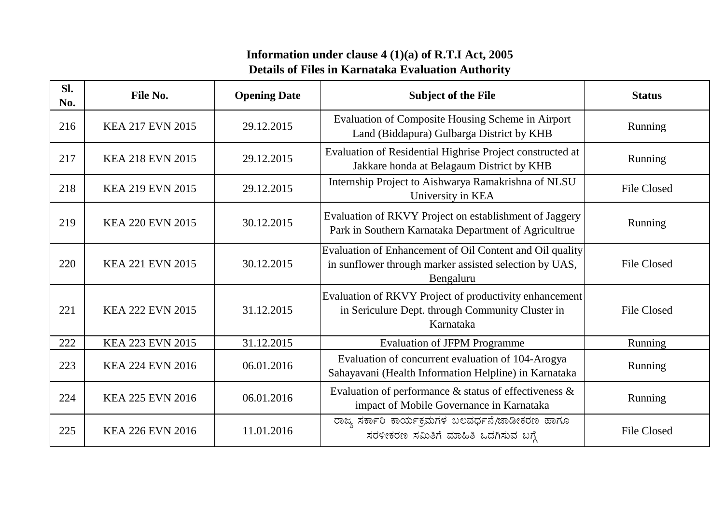| SI.<br>No. | <b>File No.</b>         | <b>Opening Date</b> | <b>Subject of the File</b>                                                                                                      | <b>Status</b>      |
|------------|-------------------------|---------------------|---------------------------------------------------------------------------------------------------------------------------------|--------------------|
| 216        | <b>KEA 217 EVN 2015</b> | 29.12.2015          | Evaluation of Composite Housing Scheme in Airport<br>Land (Biddapura) Gulbarga District by KHB                                  | Running            |
| 217        | <b>KEA 218 EVN 2015</b> | 29.12.2015          | Evaluation of Residential Highrise Project constructed at<br>Jakkare honda at Belagaum District by KHB                          | Running            |
| 218        | <b>KEA 219 EVN 2015</b> | 29.12.2015          | Internship Project to Aishwarya Ramakrishna of NLSU<br>University in KEA                                                        | <b>File Closed</b> |
| 219        | <b>KEA 220 EVN 2015</b> | 30.12.2015          | Evaluation of RKVY Project on establishment of Jaggery<br>Park in Southern Karnataka Department of Agricultrue                  | Running            |
| 220        | <b>KEA 221 EVN 2015</b> | 30.12.2015          | Evaluation of Enhancement of Oil Content and Oil quality<br>in sunflower through marker assisted selection by UAS,<br>Bengaluru | <b>File Closed</b> |
| 221        | <b>KEA 222 EVN 2015</b> | 31.12.2015          | Evaluation of RKVY Project of productivity enhancement<br>in Sericulure Dept. through Community Cluster in<br>Karnataka         | <b>File Closed</b> |
| 222        | KEA 223 EVN 2015        | 31.12.2015          | <b>Evaluation of JFPM Programme</b>                                                                                             | Running            |
| 223        | <b>KEA 224 EVN 2016</b> | 06.01.2016          | Evaluation of concurrent evaluation of 104-Arogya<br>Sahayavani (Health Information Helpline) in Karnataka                      | Running            |
| 224        | <b>KEA 225 EVN 2016</b> | 06.01.2016          | Evaluation of performance $\&$ status of effectiveness $\&$<br>impact of Mobile Governance in Karnataka                         | Running            |
| 225        | <b>KEA 226 EVN 2016</b> | 11.01.2016          | ರಾಜ್ಯ ಸರ್ಕಾರಿ ಕಾರ್ಯಕ್ರಮಗಳ ಬಲವರ್ಧನೆ/ಜಾಡೀಕರಣ ಹಾಗೂ<br>ಸರಳೀಕರಣ ಸಮಿತಿಗೆ ಮಾಹಿತಿ ಒದಗಿಸುವ ಬಗ್ಗೆ                                         | <b>File Closed</b> |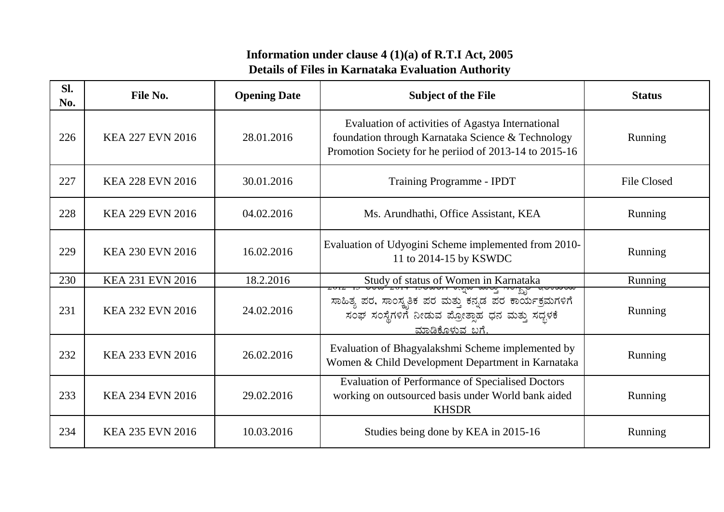| Sl.<br>No. | File No.                | <b>Opening Date</b> | <b>Subject of the File</b>                                                                                                                                       | <b>Status</b>      |
|------------|-------------------------|---------------------|------------------------------------------------------------------------------------------------------------------------------------------------------------------|--------------------|
| 226        | <b>KEA 227 EVN 2016</b> | 28.01.2016          | Evaluation of activities of Agastya International<br>foundation through Karnataka Science & Technology<br>Promotion Society for he periiod of 2013-14 to 2015-16 | Running            |
| 227        | <b>KEA 228 EVN 2016</b> | 30.01.2016          | Training Programme - IPDT                                                                                                                                        | <b>File Closed</b> |
| 228        | <b>KEA 229 EVN 2016</b> | 04.02.2016          | Ms. Arundhathi, Office Assistant, KEA                                                                                                                            | Running            |
| 229        | <b>KEA 230 EVN 2016</b> | 16.02.2016          | Evaluation of Udyogini Scheme implemented from 2010-<br>11 to 2014-15 by KSWDC                                                                                   | Running            |
| 230        | KEA 231 EVN 2016        | 18.2.2016           | Study of status of Women in Karnataka                                                                                                                            | Running            |
| 231        | KEA 232 EVN 2016        | 24.02.2016          | ಸಾಹಿತ್ಯ ಪರ, ಸಾಂಸ್ಕೃತಿಕ ಪರ ಮತ್ತು ಕನ್ನಡ ಪರ ಕಾರ್ಯಕ್ರಮಗಳಿಗೆ<br>ಸಂಘ ಸಂಸ್ಥೆಗಳಿಗೆ ನೀಡುವ ಪ್ರೋತ್ಸಾಹ ಧನ ಮತ್ತು ಸದ್ಬಳಕೆ<br>ಮಾಡಿಕೊಳುವ ಬಗೆ                                     | Running            |
| 232        | <b>KEA 233 EVN 2016</b> | 26.02.2016          | Evaluation of Bhagyalakshmi Scheme implemented by<br>Women & Child Development Department in Karnataka                                                           | Running            |
| 233        | <b>KEA 234 EVN 2016</b> | 29.02.2016          | <b>Evaluation of Performance of Specialised Doctors</b><br>working on outsourced basis under World bank aided<br><b>KHSDR</b>                                    | Running            |
| 234        | <b>KEA 235 EVN 2016</b> | 10.03.2016          | Studies being done by KEA in 2015-16                                                                                                                             | Running            |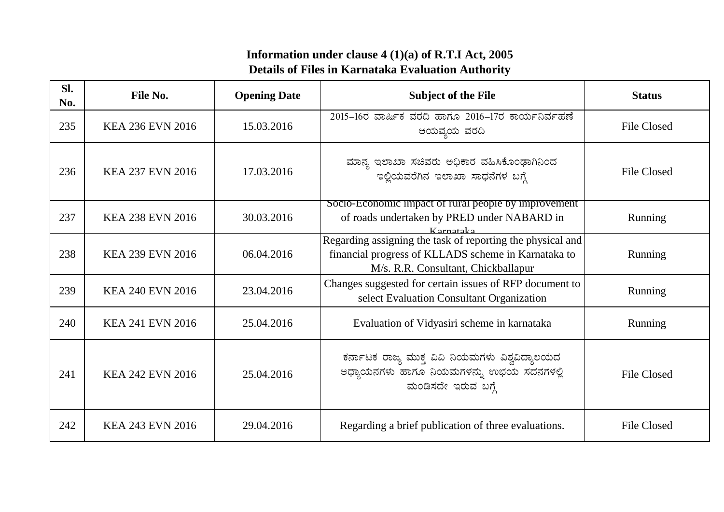| SI.<br>No. | File No.                | <b>Opening Date</b> | <b>Subject of the File</b>                                                                                                                               | <b>Status</b>      |
|------------|-------------------------|---------------------|----------------------------------------------------------------------------------------------------------------------------------------------------------|--------------------|
| 235        | KEA 236 EVN 2016        | 15.03.2016          | 2015-16ರ ವಾರ್ಷಿಕ ವರದಿ ಹಾಗೂ 2016-17ರ ಕಾರ್ಯನಿರ್ವಹಣೆ<br>ಆಯವ್ಯಯ ವರದಿ                                                                                         | <b>File Closed</b> |
| 236        | <b>KEA 237 EVN 2016</b> | 17.03.2016          | ಮಾನ್ಯ ಇಲಾಖಾ ಸಚಿವರು ಅಧಿಕಾರ ವಹಿಸಿಕೊಂಢಾಗಿನಿಂದ<br>ಇಲ್ಲಿಯವರೆಗಿನ ಇಲಾಖಾ ಸಾಧನೆಗಳ ಬಗ್ಗೆ                                                                           | <b>File Closed</b> |
| 237        | <b>KEA 238 EVN 2016</b> | 30.03.2016          | Socio-Economic impact of rural people by improvement<br>of roads undertaken by PRED under NABARD in<br>Karnataka                                         | Running            |
| 238        | <b>KEA 239 EVN 2016</b> | 06.04.2016          | Regarding assigning the task of reporting the physical and<br>financial progress of KLLADS scheme in Karnataka to<br>M/s. R.R. Consultant, Chickballapur | Running            |
| 239        | <b>KEA 240 EVN 2016</b> | 23.04.2016          | Changes suggested for certain issues of RFP document to<br>select Evaluation Consultant Organization                                                     | Running            |
| 240        | <b>KEA 241 EVN 2016</b> | 25.04.2016          | Evaluation of Vidyasiri scheme in karnataka                                                                                                              | Running            |
| 241        | KEA 242 EVN 2016        | 25.04.2016          | ಕರ್ನಾಟಕ ರಾಜ್ಯ ಮುಕ್ತ ವಿವಿ ನಿಯಮಗಳು ವಿಶ್ವವಿದ್ಯಾಲಯದ<br>ಅಧ್ಯಾಯನಗಳು ಹಾಗೂ ನಿಯಮಗಳನ್ನು ಉಭಯ ಸದನಗಳಲ್ಲಿ<br>ಮಂಡಿಸದೇ ಇರುವ ಬಗ್ಗೆ                                        | <b>File Closed</b> |
| 242        | <b>KEA 243 EVN 2016</b> | 29.04.2016          | Regarding a brief publication of three evaluations.                                                                                                      | <b>File Closed</b> |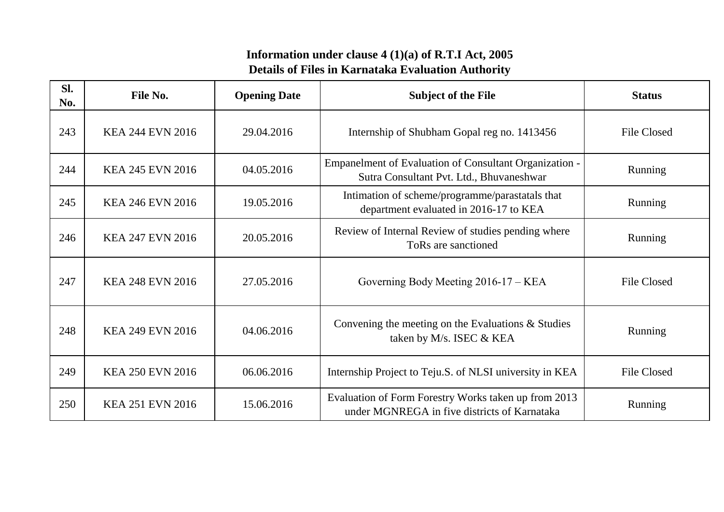| SI.<br>No. | File No.                | <b>Opening Date</b> | <b>Subject of the File</b>                                                                                | <b>Status</b>      |
|------------|-------------------------|---------------------|-----------------------------------------------------------------------------------------------------------|--------------------|
| 243        | <b>KEA 244 EVN 2016</b> | 29.04.2016          | Internship of Shubham Gopal reg no. 1413456                                                               | <b>File Closed</b> |
| 244        | KEA 245 EVN 2016        | 04.05.2016          | <b>Empanelment of Evaluation of Consultant Organization -</b><br>Sutra Consultant Pvt. Ltd., Bhuvaneshwar | Running            |
| 245        | <b>KEA 246 EVN 2016</b> | 19.05.2016          | Intimation of scheme/programme/parastatals that<br>department evaluated in 2016-17 to KEA                 | Running            |
| 246        | <b>KEA 247 EVN 2016</b> | 20.05.2016          | Review of Internal Review of studies pending where<br>ToRs are sanctioned                                 | Running            |
| 247        | <b>KEA 248 EVN 2016</b> | 27.05.2016          | Governing Body Meeting 2016-17 – KEA                                                                      | <b>File Closed</b> |
| 248        | KEA 249 EVN 2016        | 04.06.2016          | Convening the meeting on the Evaluations $&$ Studies<br>taken by M/s. ISEC & KEA                          | Running            |
| 249        | <b>KEA 250 EVN 2016</b> | 06.06.2016          | Internship Project to Teju.S. of NLSI university in KEA                                                   | <b>File Closed</b> |
| 250        | <b>KEA 251 EVN 2016</b> | 15.06.2016          | Evaluation of Form Forestry Works taken up from 2013<br>under MGNREGA in five districts of Karnataka      | <b>Running</b>     |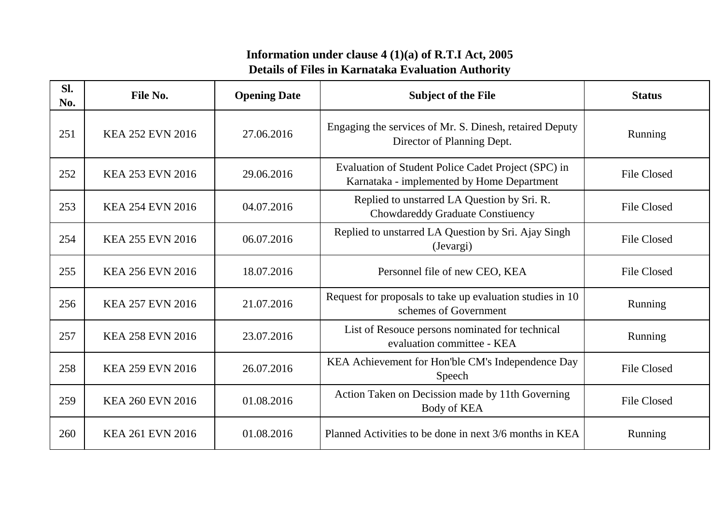| SI.<br>No. | File No.                | <b>Opening Date</b> | <b>Subject of the File</b>                                                                        | <b>Status</b>      |
|------------|-------------------------|---------------------|---------------------------------------------------------------------------------------------------|--------------------|
| 251        | <b>KEA 252 EVN 2016</b> | 27.06.2016          | Engaging the services of Mr. S. Dinesh, retaired Deputy<br>Director of Planning Dept.             | Running            |
| 252        | <b>KEA 253 EVN 2016</b> | 29.06.2016          | Evaluation of Student Police Cadet Project (SPC) in<br>Karnataka - implemented by Home Department | <b>File Closed</b> |
| 253        | <b>KEA 254 EVN 2016</b> | 04.07.2016          | Replied to unstarred LA Question by Sri. R.<br>Chowdareddy Graduate Constiuency                   | <b>File Closed</b> |
| 254        | <b>KEA 255 EVN 2016</b> | 06.07.2016          | Replied to unstarred LA Question by Sri. Ajay Singh<br>(Jevargi)                                  | <b>File Closed</b> |
| 255        | <b>KEA 256 EVN 2016</b> | 18.07.2016          | Personnel file of new CEO, KEA                                                                    | <b>File Closed</b> |
| 256        | <b>KEA 257 EVN 2016</b> | 21.07.2016          | Request for proposals to take up evaluation studies in 10<br>schemes of Government                | Running            |
| 257        | <b>KEA 258 EVN 2016</b> | 23.07.2016          | List of Resouce persons nominated for technical<br>evaluation committee - KEA                     | Running            |
| 258        | <b>KEA 259 EVN 2016</b> | 26.07.2016          | KEA Achievement for Hon'ble CM's Independence Day<br>Speech                                       | <b>File Closed</b> |
| 259        | <b>KEA 260 EVN 2016</b> | 01.08.2016          | Action Taken on Decission made by 11th Governing<br>Body of KEA                                   | <b>File Closed</b> |
| 260        | <b>KEA 261 EVN 2016</b> | 01.08.2016          | Planned Activities to be done in next 3/6 months in KEA                                           | Running            |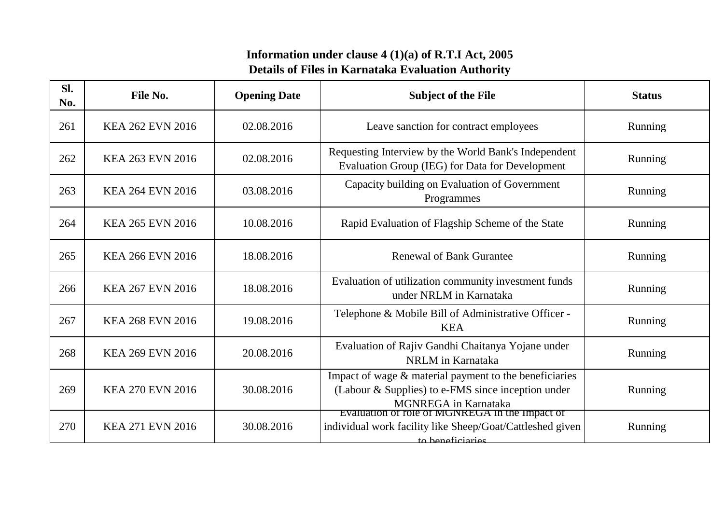| Sl.<br>No. | File No.                | <b>Opening Date</b> | <b>Subject of the File</b>                                                                                                           | <b>Status</b>  |
|------------|-------------------------|---------------------|--------------------------------------------------------------------------------------------------------------------------------------|----------------|
| 261        | <b>KEA 262 EVN 2016</b> | 02.08.2016          | Leave sanction for contract employees                                                                                                | Running        |
| 262        | <b>KEA 263 EVN 2016</b> | 02.08.2016          | Requesting Interview by the World Bank's Independent<br>Evaluation Group (IEG) for Data for Development                              | Running        |
| 263        | <b>KEA 264 EVN 2016</b> | 03.08.2016          | Capacity building on Evaluation of Government<br>Programmes                                                                          | Running        |
| 264        | <b>KEA 265 EVN 2016</b> | 10.08.2016          | Rapid Evaluation of Flagship Scheme of the State                                                                                     | <b>Running</b> |
| 265        | <b>KEA 266 EVN 2016</b> | 18.08.2016          | <b>Renewal of Bank Gurantee</b>                                                                                                      | Running        |
| 266        | <b>KEA 267 EVN 2016</b> | 18.08.2016          | Evaluation of utilization community investment funds<br>under NRLM in Karnataka                                                      | Running        |
| 267        | <b>KEA 268 EVN 2016</b> | 19.08.2016          | Telephone & Mobile Bill of Administrative Officer -<br><b>KEA</b>                                                                    | <b>Running</b> |
| 268        | <b>KEA 269 EVN 2016</b> | 20.08.2016          | Evaluation of Rajiv Gandhi Chaitanya Yojane under<br>NRLM in Karnataka                                                               | Running        |
| 269        | KEA 270 EVN 2016        | 30.08.2016          | Impact of wage & material payment to the beneficiaries<br>(Labour & Supplies) to e-FMS since inception under<br>MGNREGA in Karnataka | Running        |
| 270        | <b>KEA 271 EVN 2016</b> | 30.08.2016          | Evaluation of role of MGNREGA in the Impact of<br>individual work facility like Sheep/Goat/Cattleshed given<br>to beneficiaries      | Running        |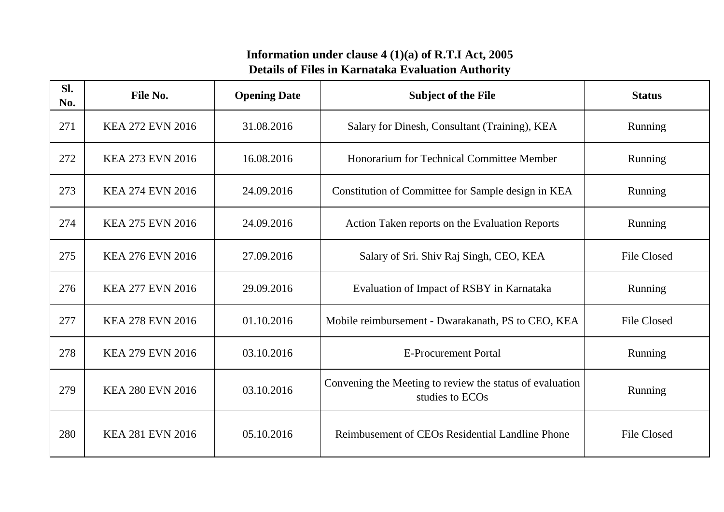| SI.<br>No. | File No.                | <b>Opening Date</b> | <b>Subject of the File</b>                                                  | <b>Status</b>      |
|------------|-------------------------|---------------------|-----------------------------------------------------------------------------|--------------------|
| 271        | <b>KEA 272 EVN 2016</b> | 31.08.2016          | Salary for Dinesh, Consultant (Training), KEA                               | Running            |
| 272        | <b>KEA 273 EVN 2016</b> | 16.08.2016          | Honorarium for Technical Committee Member                                   | Running            |
| 273        | <b>KEA 274 EVN 2016</b> | 24.09.2016          | Constitution of Committee for Sample design in KEA                          | Running            |
| 274        | <b>KEA 275 EVN 2016</b> | 24.09.2016          | Action Taken reports on the Evaluation Reports                              | <b>Running</b>     |
| 275        | <b>KEA 276 EVN 2016</b> | 27.09.2016          | Salary of Sri. Shiv Raj Singh, CEO, KEA                                     | <b>File Closed</b> |
| 276        | <b>KEA 277 EVN 2016</b> | 29.09.2016          | Evaluation of Impact of RSBY in Karnataka                                   | Running            |
| 277        | <b>KEA 278 EVN 2016</b> | 01.10.2016          | Mobile reimbursement - Dwarakanath, PS to CEO, KEA                          | <b>File Closed</b> |
| 278        | <b>KEA 279 EVN 2016</b> | 03.10.2016          | <b>E-Procurement Portal</b>                                                 | Running            |
| 279        | <b>KEA 280 EVN 2016</b> | 03.10.2016          | Convening the Meeting to review the status of evaluation<br>studies to ECOs | Running            |
| 280        | <b>KEA 281 EVN 2016</b> | 05.10.2016          | Reimbusement of CEOs Residential Landline Phone                             | <b>File Closed</b> |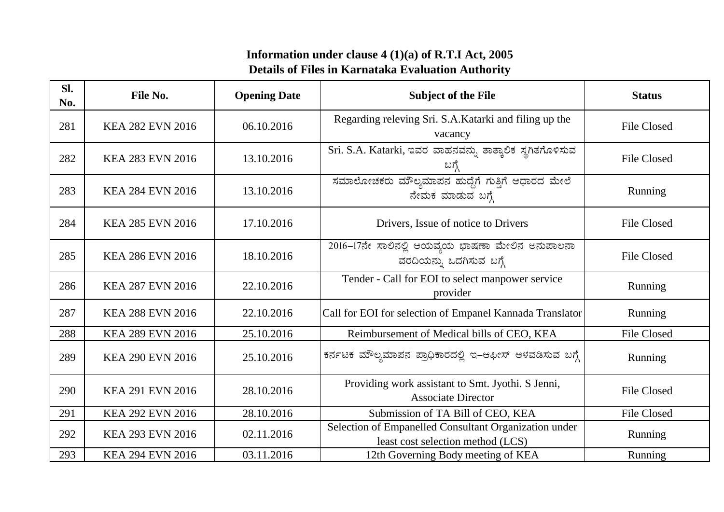| SI.<br>No. | File No.                | <b>Opening Date</b> | <b>Subject of the File</b>                                                                 | <b>Status</b>      |
|------------|-------------------------|---------------------|--------------------------------------------------------------------------------------------|--------------------|
| 281        | <b>KEA 282 EVN 2016</b> | 06.10.2016          | Regarding releving Sri. S.A. Katarki and filing up the<br>vacancy                          | <b>File Closed</b> |
| 282        | <b>KEA 283 EVN 2016</b> | 13.10.2016          | Sri. S.A. Katarki, ಇವರ ವಾಹನವನ್ನು ತಾತ್ಕಾಲಿಕ ಸ್ಥಗಿತಗೊಳಿಸುವ<br>ಬಗ್ಗೆ                          | <b>File Closed</b> |
| 283        | <b>KEA 284 EVN 2016</b> | 13.10.2016          | ಸಮಾಲೋಚಕರು ಮೌಲ್ಯಮಾಪನ ಹುದ್ದೆಗೆ ಗುತ್ತಿಗೆ ಆಧಾರದ ಮೇಲೆ<br>ನೇಮಕ ಮಾಡುವ ಬಗ್ಗೆ                       | Running            |
| 284        | <b>KEA 285 EVN 2016</b> | 17.10.2016          | Drivers, Issue of notice to Drivers                                                        | <b>File Closed</b> |
| 285        | <b>KEA 286 EVN 2016</b> | 18.10.2016          | 2016-17ನೇ ಸಾಲಿನಲ್ಲಿ ಆಯವ್ಯಯ ಭಾಷಣಾ ಮೇಲಿನ ಅನುಪಾಲನಾ<br>ವರದಿಯನ್ನು ಒದಗಿಸುವ ಬಗ್ಗೆ                 | <b>File Closed</b> |
| 286        | <b>KEA 287 EVN 2016</b> | 22.10.2016          | Tender - Call for EOI to select manpower service<br>provider                               | Running            |
| 287        | <b>KEA 288 EVN 2016</b> | 22.10.2016          | Call for EOI for selection of Empanel Kannada Translator                                   | Running            |
| 288        | KEA 289 EVN 2016        | 25.10.2016          | Reimbursement of Medical bills of CEO, KEA                                                 | <b>File Closed</b> |
| 289        | <b>KEA 290 EVN 2016</b> | 25.10.2016          | ಕರ್ನಟಕ ಮೌಲ್ಯಮಾಪನ ಪ್ರಾಧಿಕಾರದಲ್ಲಿ ಇ-ಆಫೀಸ್ ಅಳವಡಿಸುವ ಬಗ್ಗೆ                                     | Running            |
| 290        | <b>KEA 291 EVN 2016</b> | 28.10.2016          | Providing work assistant to Smt. Jyothi. S Jenni,<br><b>Associate Director</b>             | <b>File Closed</b> |
| 291        | KEA 292 EVN 2016        | 28.10.2016          | Submission of TA Bill of CEO, KEA                                                          | File Closed        |
| 292        | KEA 293 EVN 2016        | 02.11.2016          | Selection of Empanelled Consultant Organization under<br>least cost selection method (LCS) | Running            |
| 293        | <b>KEA 294 EVN 2016</b> | 03.11.2016          | 12th Governing Body meeting of KEA                                                         | Running            |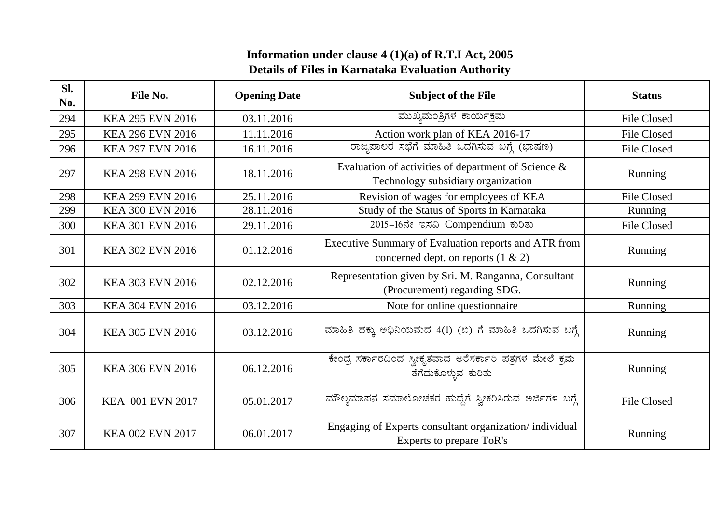| SI.<br>No. | File No.                | <b>Opening Date</b> | <b>Subject of the File</b>                                                                    | <b>Status</b>      |
|------------|-------------------------|---------------------|-----------------------------------------------------------------------------------------------|--------------------|
| 294        | <b>KEA 295 EVN 2016</b> | 03.11.2016          | ಮುಖ್ಯಮಂತ್ರಿಗಳ ಕಾರ್ಯಕ್ರಮ                                                                       | <b>File Closed</b> |
| 295        | <b>KEA 296 EVN 2016</b> | 11.11.2016          | Action work plan of KEA 2016-17                                                               | <b>File Closed</b> |
| 296        | <b>KEA 297 EVN 2016</b> | 16.11.2016          | ರಾಜ್ಯಪಾಲರ ಸಭೆಗೆ ಮಾಹಿತಿ ಒದಗಿಸುವ ಬಗ್ಗೆ (ಭಾಷಣ)                                                   | File Closed        |
| 297        | <b>KEA 298 EVN 2016</b> | 18.11.2016          | Evaluation of activities of department of Science $\&$<br>Technology subsidiary organization  | Running            |
| 298        | KEA 299 EVN 2016        | 25.11.2016          | Revision of wages for employees of KEA                                                        | <b>File Closed</b> |
| 299        | KEA 300 EVN 2016        | 28.11.2016          | Study of the Status of Sports in Karnataka                                                    | <b>Running</b>     |
| 300        | <b>KEA 301 EVN 2016</b> | 29.11.2016          | 2015-16ನೇ ಇಸವಿ Compendium ಕುರಿತು                                                              | <b>File Closed</b> |
| 301        | <b>KEA 302 EVN 2016</b> | 01.12.2016          | Executive Summary of Evaluation reports and ATR from<br>concerned dept. on reports $(1 \& 2)$ | Running            |
| 302        | <b>KEA 303 EVN 2016</b> | 02.12.2016          | Representation given by Sri. M. Ranganna, Consultant<br>(Procurement) regarding SDG.          | Running            |
| 303        | <b>KEA 304 EVN 2016</b> | 03.12.2016          | Note for online questionnaire                                                                 | Running            |
| 304        | <b>KEA 305 EVN 2016</b> | 03.12.2016          | ಮಾಹಿತಿ ಹಕ್ಕು ಅಧಿನಿಯಮದ 4(1) (ಬಿ) ಗೆ ಮಾಹಿತಿ ಒದಗಿಸುವ ಬಗ್ಗೆ                                       | Running            |
| 305        | <b>KEA 306 EVN 2016</b> | 06.12.2016          | ಕೇಂದ್ರ ಸರ್ಕಾರದಿಂದ ಸ್ತೀಕೃತವಾದ ಅರೆಸರ್ಕಾರಿ ಪತ್ರಗಳ ಮೇಲೆ ಕ್ರಮ<br>ತೆಗೆದುಕೊಳ್ಳುವ ಕುರಿತು              | Running            |
| 306        | KEA 001 EVN 2017        | 05.01.2017          | ಮೌಲ್ಯಮಾಪನ ಸಮಾಲೋಚಕರ ಹುದ್ದೆಗೆ ಸ್ವೀಕರಿಸಿರುವ ಅರ್ಜಿಗಳ ಬಗ್ಗೆ                                        | <b>File Closed</b> |
| 307        | KEA 002 EVN 2017        | 06.01.2017          | Engaging of Experts consultant organization/individual<br>Experts to prepare ToR's            | Running            |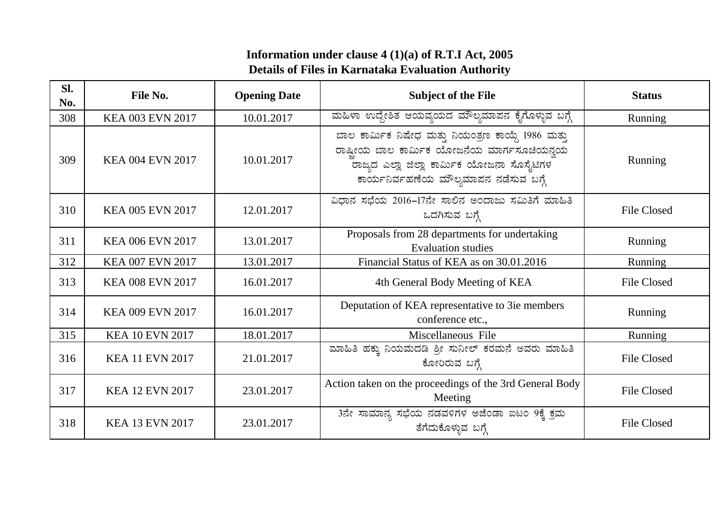| Sl.<br>No. | File No.                | <b>Opening Date</b> | <b>Subject of the File</b>                                                                                                                                                               | <b>Status</b>      |
|------------|-------------------------|---------------------|------------------------------------------------------------------------------------------------------------------------------------------------------------------------------------------|--------------------|
| 308        | KEA 003 EVN 2017        | 10.01.2017          | ಮಹಿಳಾ ಉದ್ದೇಶಿತ ಆಯವ್ಯಯದ ಮೌಲ್ಯಮಾಪನ ಕೈಗೊಳ್ಳುವ ಬಗ್ಗೆ                                                                                                                                         | Running            |
| 309        | KEA 004 EVN 2017        | 10.01.2017          | ಬಾಲ ಕಾರ್ಮಿಕ ನಿಷೇಧ ಮತ್ತು ನಿಯಂತ್ರಣ ಕಾಯ್ದೆ 1986 ಮತ್ತು<br>ರಾಷ್ಟ್ರೀಯ ಬಾಲ ಕಾರ್ಮಿಕ ಯೋಜನೆಯ ಮಾರ್ಗಸೂಚಿಯನ್ವಯ<br>ರಾಜ್ಯದ ಎಲ್ಲಾ ಜಿಲ್ಲಾ ಕಾರ್ಮಿಕ ಯೋಜನಾ ಸೊಸೈಟಿಗಳ<br>ಕಾರ್ಯನಿರ್ವಹಣೆಯ ಮೌಲ್ಯಮಾಪನ ನಡೆಸುವ ಬಗ್ಗೆ | Running            |
| 310        | KEA 005 EVN 2017        | 12.01.2017          | ವಿಧಾನ ಸಭೆಯ 2016-17ನೇ ಸಾಲಿನ ಅಂದಾಜು ಸಮಿತಿಗೆ ಮಾಹಿತಿ<br>ಒದಗಿಸುವ ಬಗ್ಗೆ                                                                                                                        | <b>File Closed</b> |
| 311        | <b>KEA 006 EVN 2017</b> | 13.01.2017          | Proposals from 28 departments for undertaking<br><b>Evaluation studies</b>                                                                                                               | Running            |
| 312        | KEA 007 EVN 2017        | 13.01.2017          | Financial Status of KEA as on 30.01.2016                                                                                                                                                 | Running            |
| 313        | <b>KEA 008 EVN 2017</b> | 16.01.2017          | 4th General Body Meeting of KEA                                                                                                                                                          | <b>File Closed</b> |
| 314        | KEA 009 EVN 2017        | 16.01.2017          | Deputation of KEA representative to 3ie members<br>conference etc.,                                                                                                                      | Running            |
| 315        | <b>KEA 10 EVN 2017</b>  | 18.01.2017          | Miscellaneous File                                                                                                                                                                       | Running            |
| 316        | <b>KEA 11 EVN 2017</b>  | 21.01.2017          | ಮಾಹಿತಿ ಹಕ್ಕು ನಿಯಮದಡಿ ಶ್ರೀ ಸುನೀಲ್ ಕರಮನೆ ಅವರು ಮಾಹಿತಿ<br>ಕೋರಿರುವ ಬಗ್ಗೆ                                                                                                                      | File Closed        |
| 317        | <b>KEA 12 EVN 2017</b>  | 23.01.2017          | Action taken on the proceedings of the 3rd General Body<br>Meeting                                                                                                                       | <b>File Closed</b> |
| 318        | <b>KEA 13 EVN 2017</b>  | 23.01.2017          | 3ನೇ ಸಾಮಾನ್ಯ ಸಭೆಯ ನಡವಳಿಗಳ ಅಜೆಂಡಾ ಐಟಂ 9ಕ್ಕೆ ಕ್ರಮ<br>ತೆಗೆದುಕೊಳ್ಳುವ ಬಗ್ಗೆ                                                                                                                    | <b>File Closed</b> |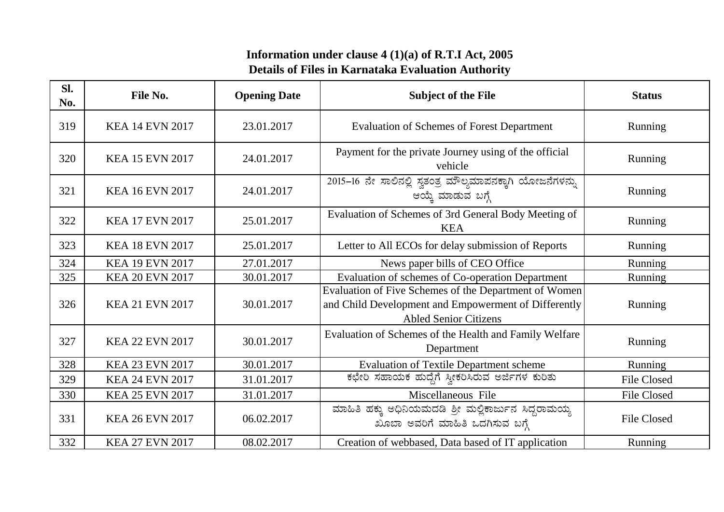| SI.<br>No. | <b>File No.</b>        | <b>Opening Date</b> | <b>Subject of the File</b>                                                                                                                    | <b>Status</b>      |
|------------|------------------------|---------------------|-----------------------------------------------------------------------------------------------------------------------------------------------|--------------------|
| 319        | <b>KEA 14 EVN 2017</b> | 23.01.2017          | <b>Evaluation of Schemes of Forest Department</b>                                                                                             | Running            |
| 320        | <b>KEA 15 EVN 2017</b> | 24.01.2017          | Payment for the private Journey using of the official<br>vehicle                                                                              | Running            |
| 321        | <b>KEA 16 EVN 2017</b> | 24.01.2017          | 2015-16 ನೇ ಸಾಲಿನಲ್ಲಿ ಸ್ವತಂತ್ರ ಮೌಲ್ಯಮಾಪನಕ್ಕಾಗಿ ಯೋಜನೆಗಳನ್ನು<br>ಆಯ್ಕೆ ಮಾಡುವ ಬಗ್ಗೆ                                                                | Running            |
| 322        | <b>KEA 17 EVN 2017</b> | 25.01.2017          | Evaluation of Schemes of 3rd General Body Meeting of<br><b>KEA</b>                                                                            | Running            |
| 323        | <b>KEA 18 EVN 2017</b> | 25.01.2017          | Letter to All ECOs for delay submission of Reports                                                                                            | Running            |
| 324        | <b>KEA 19 EVN 2017</b> | 27.01.2017          | News paper bills of CEO Office                                                                                                                | Running            |
| 325        | <b>KEA 20 EVN 2017</b> | 30.01.2017          | Evaluation of schemes of Co-operation Department                                                                                              | Running            |
| 326        | <b>KEA 21 EVN 2017</b> | 30.01.2017          | Evaluation of Five Schemes of the Department of Women<br>and Child Development and Empowerment of Differently<br><b>Abled Senior Citizens</b> | Running            |
| 327        | <b>KEA 22 EVN 2017</b> | 30.01.2017          | Evaluation of Schemes of the Health and Family Welfare<br>Department                                                                          | Running            |
| 328        | <b>KEA 23 EVN 2017</b> | 30.01.2017          | <b>Evaluation of Textile Department scheme</b>                                                                                                | Running            |
| 329        | <b>KEA 24 EVN 2017</b> | 31.01.2017          | ಕಛೇರಿ ಸಹಾಯಕ ಹುದ್ದೆಗೆ ಸ್ವೀಕರಿಸಿರುವ ಅರ್ಜಿಗಳ ಕುರಿತು                                                                                              | <b>File Closed</b> |
| 330        | <b>KEA 25 EVN 2017</b> | 31.01.2017          | Miscellaneous File                                                                                                                            | <b>File Closed</b> |
| 331        | <b>KEA 26 EVN 2017</b> | 06.02.2017          | ಮಾಹಿತಿ ಹಕ್ಕು ಅಧಿನಿಯಮದಡಿ ಶ್ರೀ ಮಲ್ಲಿಕಾರ್ಜುನ ಸಿದ್ದರಾಮಯ್ಯ<br>ಖೂಬಾ ಅವರಿಗೆ ಮಾಹಿತಿ ಒದಗಿಸುವ ಬಗ್ಗೆ                                                     | File Closed        |
| 332        | <b>KEA 27 EVN 2017</b> | 08.02.2017          | Creation of webbased, Data based of IT application                                                                                            | Running            |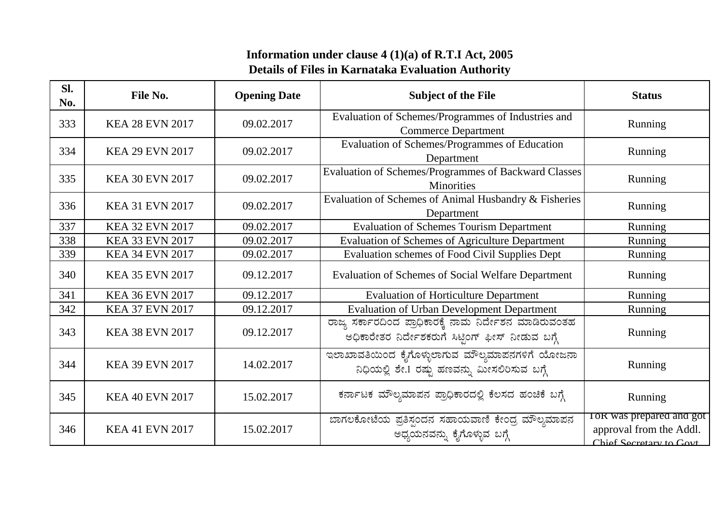| Sl.<br>No. | File No.               | <b>Opening Date</b> | <b>Subject of the File</b>                                                                                  | <b>Status</b>                                                                  |
|------------|------------------------|---------------------|-------------------------------------------------------------------------------------------------------------|--------------------------------------------------------------------------------|
| 333        | <b>KEA 28 EVN 2017</b> | 09.02.2017          | Evaluation of Schemes/Programmes of Industries and<br><b>Commerce Department</b>                            | Running                                                                        |
| 334        | <b>KEA 29 EVN 2017</b> | 09.02.2017          | Evaluation of Schemes/Programmes of Education<br>Department                                                 | Running                                                                        |
| 335        | <b>KEA 30 EVN 2017</b> | 09.02.2017          | <b>Evaluation of Schemes/Programmes of Backward Classes</b><br><b>Minorities</b>                            | Running                                                                        |
| 336        | <b>KEA 31 EVN 2017</b> | 09.02.2017          | Evaluation of Schemes of Animal Husbandry & Fisheries<br>Department                                         | Running                                                                        |
| 337        | <b>KEA 32 EVN 2017</b> | 09.02.2017          | <b>Evaluation of Schemes Tourism Department</b>                                                             | Running                                                                        |
| 338        | <b>KEA 33 EVN 2017</b> | 09.02.2017          | <b>Evaluation of Schemes of Agriculture Department</b>                                                      | Running                                                                        |
| 339        | <b>KEA 34 EVN 2017</b> | 09.02.2017          | Evaluation schemes of Food Civil Supplies Dept                                                              | Running                                                                        |
| 340        | <b>KEA 35 EVN 2017</b> | 09.12.2017          | <b>Evaluation of Schemes of Social Welfare Department</b>                                                   | Running                                                                        |
| 341        | <b>KEA 36 EVN 2017</b> | 09.12.2017          | <b>Evaluation of Horticulture Department</b>                                                                | Running                                                                        |
| 342        | <b>KEA 37 EVN 2017</b> | 09.12.2017          | <b>Evaluation of Urban Development Department</b>                                                           | Running                                                                        |
| 343        | <b>KEA 38 EVN 2017</b> | 09.12.2017          | ರಾಜ್ಯ ಸರ್ಕಾರದಿಂದ ಪ್ರಾಧಿಕಾರಕ್ಕೆ ನಾಮ ನಿರ್ದೇಶನ ಮಾಡಿರುವಂತಹ<br>ಅಧಿಕಾರೇತರ ನಿರ್ದೇಶಕರುಗೆ ಸಿಟ್ಟಿಂಗ್ ಫೀಸ್ ನೀಡುವ ಬಗ್ಗೆ | Running                                                                        |
| 344        | <b>KEA 39 EVN 2017</b> | 14.02.2017          | ಇಲಾಖಾವತಿಯಿಂದ ಕೈಗೊಳ್ಳುಲಾಗುವ ಮೌಲ್ಯಮಾಪನಗಳಿಗೆ ಯೋಜನಾ<br>ನಿಧಿಯಲ್ಲಿ ಶೇ.1 ರಷ್ಟು ಹಣವನ್ನು ಮೀಸಲಿರಿಸುವ ಬಗ್ಗೆ            | Running                                                                        |
| 345        | <b>KEA 40 EVN 2017</b> | 15.02.2017          | ಕರ್ನಾಟಕ ಮೌಲ್ಯಮಾಪನ ಪ್ರಾಧಿಕಾರದಲ್ಲಿ ಕೆಲಸದ ಹಂಚಿಕೆ ಬಗ್ಗೆ                                                         | Running                                                                        |
| 346        | <b>KEA 41 EVN 2017</b> | 15.02.2017          | ಬಾಗಲಕೋಟೆಯ ಪ್ರತಿಸ್ಪಂದನ ಸಹಾಯವಾಣಿ ಕೇಂದ್ರ ಮೌಲ್ಯಮಾಪನ<br>ಅಧ್ಯಯನವನ್ನು ಕೈಗೊಳ್ಳುವ ಬಗ್ಗೆ                              | ToR was prepared and got<br>approval from the Addl.<br>Chief Secretary to Goyt |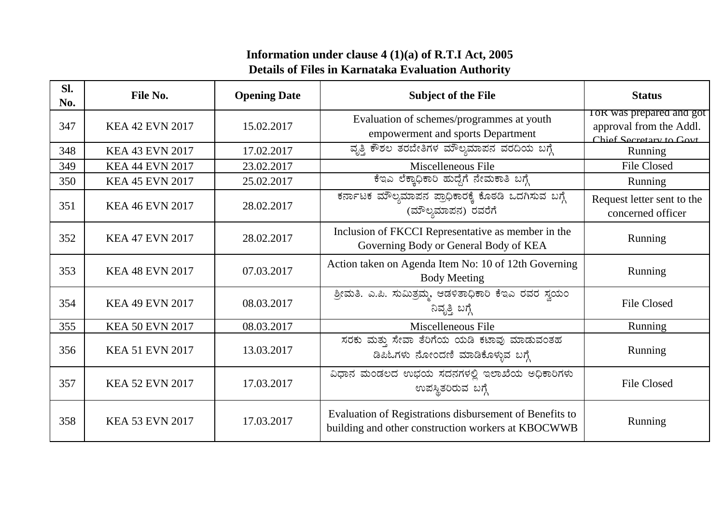| Sl.<br>No. | File No.               | <b>Opening Date</b> | <b>Subject of the File</b>                                                                                    | <b>Status</b>                                                                  |
|------------|------------------------|---------------------|---------------------------------------------------------------------------------------------------------------|--------------------------------------------------------------------------------|
| 347        | <b>KEA 42 EVN 2017</b> | 15.02.2017          | Evaluation of schemes/programmes at youth<br>empowerment and sports Department                                | ToR was prepared and got<br>approval from the Addl.<br>Chief Secretary to Goyt |
| 348        | <b>KEA 43 EVN 2017</b> | 17.02.2017          | ವೃತ್ತಿ ಕೌಶಲ ತರಬೇತಿಗಳ ಮೌಲ್ಯಮಾಪನ ವರದಿಯ ಬಗ್ಗೆ                                                                    | <b>Running</b>                                                                 |
| 349        | <b>KEA 44 EVN 2017</b> | 23.02.2017          | Miscelleneous File                                                                                            | <b>File Closed</b>                                                             |
| 350        | <b>KEA 45 EVN 2017</b> | 25.02.2017          | ಕೆಇಎ ಲೆಕ್ಕಾಧಿಕಾರಿ ಹುದ್ದೆಗೆ ನೇಮಕಾತಿ ಬಗ್ಗೆ                                                                      | Running                                                                        |
| 351        | <b>KEA 46 EVN 2017</b> | 28.02.2017          | ಕರ್ನಾಟಕ ಮೌಲ್ಯಮಾಪನ ಪ್ರಾಧಿಕಾರಕ್ಕೆ ಕೊಠಡಿ ಒದಗಿಸುವ ಬಗ್ಗೆ<br>(ಮೌಲ್ನಮಾಪನ) ರವರೆಗೆ                                     | Request letter sent to the<br>concerned officer                                |
| 352        | <b>KEA 47 EVN 2017</b> | 28.02.2017          | Inclusion of FKCCI Representative as member in the<br>Governing Body or General Body of KEA                   | Running                                                                        |
| 353        | <b>KEA 48 EVN 2017</b> | 07.03.2017          | Action taken on Agenda Item No: 10 of 12th Governing<br><b>Body Meeting</b>                                   | Running                                                                        |
| 354        | <b>KEA 49 EVN 2017</b> | 08.03.2017          | ಶ್ರೀಮತಿ. ಎ.ಪಿ. ಸುಮಿತ್ರಮ್ಮ, ಆಡಳಿತಾಧಿಕಾರಿ ಕೆಇಎ ರವರ ಸ್ವಯಂ<br>ನಿವೃತ್ತಿ ಬಗ್ಗೆ                                      | <b>File Closed</b>                                                             |
| 355        | <b>KEA 50 EVN 2017</b> | 08.03.2017          | Miscelleneous File                                                                                            | Running                                                                        |
| 356        | <b>KEA 51 EVN 2017</b> | 13.03.2017          | ಸರಕು ಮತ್ತು ಸೇವಾ ತೆರಿಗೆಯ ಯಡಿ ಕಟಾವು ಮಾಡುವಂತಹ<br>ಡಿಪಿಓಗಳು ನೋಂದಣಿ ಮಾಡಿಕೊಳ್ಳುವ ಬಗ್ಗೆ                               | Running                                                                        |
| 357        | <b>KEA 52 EVN 2017</b> | 17.03.2017          | ವಿಧಾನ ಮಂಡಲದ ಉಭಯ ಸದನಗಳಲ್ಲಿ ಇಲಾಖೆಯ ಅಧಿಕಾರಿಗಳು<br>ಉಪಸ್ಥಿತರಿರುವ ಬಗ್ಗೆ                                             | <b>File Closed</b>                                                             |
| 358        | <b>KEA 53 EVN 2017</b> | 17.03.2017          | Evaluation of Registrations disbursement of Benefits to<br>building and other construction workers at KBOCWWB | Running                                                                        |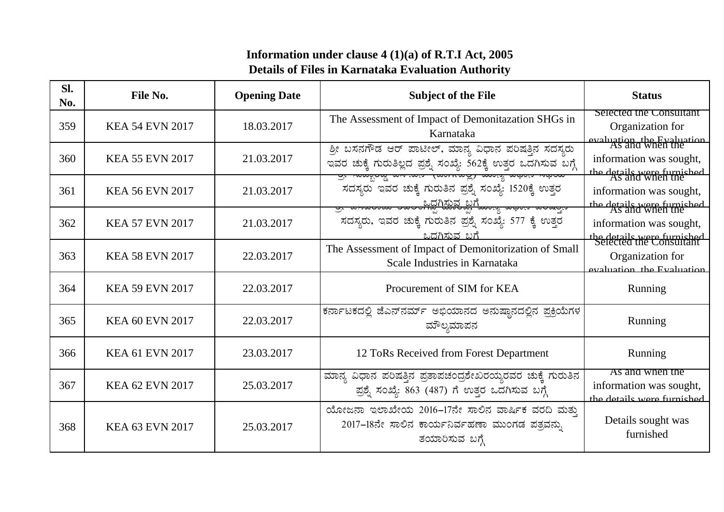| SI.<br>No. | File No.               | <b>Opening Date</b> | <b>Subject of the File</b>                                                                                                                               | <b>Status</b>                                                                    |
|------------|------------------------|---------------------|----------------------------------------------------------------------------------------------------------------------------------------------------------|----------------------------------------------------------------------------------|
| 359        | <b>KEA 54 EVN 2017</b> | 18.03.2017          | The Assessment of Impact of Demonitazation SHGs in<br>Karnataka                                                                                          | Selected the Consultant<br>Organization for<br>evaluation the Evaluation         |
| 360        | <b>KEA 55 EVN 2017</b> | 21.03.2017          | ಶ್ರೀ ಬಸನಗೌಡ ಆರ್ ಪಾಟೀಲ್, ಮಾನ್ಯ ವಿಧಾನ ಪರಿಷತ್ತಿನ ಸದಸ್ಯರು<br>ಇವರ ಚುಕ್ಕೆ ಗುರುತಿಲ್ಲದ ಪ್ರಶ್ನೆ ಸಂಖ್ಯೆ: 562ಕ್ಕೆ ಉತ್ತರ ಒದಗಿಸುವ ಬಗ್ಗೆ                               | information was sought,<br>the details were furnished<br>As and when the         |
| 361        | <b>KEA 56 EVN 2017</b> | 21.03.2017          | <u> ಇದ್ದುಂದೆ ಐಬ ಇಂಬ (ಐಬಲ್ಲದು ಎಂಬ್ಲೆ ಇದಿಯ </u><br>ಸದಸ್ಯರು ಇವರ ಚುಕ್ಕೆ ಗುರುತಿನ ಪ್ರಶ್ನೆ ಸಂಖ್ಯೆ: 1520ಕ್ಕೆ ಉತ್ತರ<br><del>๛๛๛๛๛๛๛๛๛๛๛๛๛๛๛๛๛๛๛๛๛๛๛๛๛๛๛๛๛</del> ๛ | information was sought,<br>the details were furnished                            |
| 362        | <b>KEA 57 EVN 2017</b> | 21.03.2017          | ಸದಸ್ಯರು, ಇವರ ಚುಕ್ಕೆ ಗುರುತಿನ ಪ್ರಶೈ ಸಂಖ್ಯೆ: 577 ಕ್ಕೆ ಉತ್ತರ<br>ಒದಗಿಸುವ ಬಗೆ                                                                                  | information was sought,<br>the details were furnished<br>Selected the Consultant |
| 363        | <b>KEA 58 EVN 2017</b> | 22.03.2017          | The Assessment of Impact of Demonitorization of Small<br>Scale Industries in Karnataka                                                                   | Organization for<br>evaluation the Evaluation                                    |
| 364        | <b>KEA 59 EVN 2017</b> | 22.03.2017          | Procurement of SIM for KEA                                                                                                                               | Running                                                                          |
| 365        | <b>KEA 60 EVN 2017</b> | 22.03.2017          | ಕರ್ನಾಟಕದಲ್ಲಿ ಜೆಎನ್ನರ್ಮ್ ಅಭಿಯಾನದ ಅನುಷ್ಠಾನದಲ್ಲಿನ ಪ್ರಕ್ರಿಯೆಗಳ<br>ಮೌಲ್ಯಮಾಪನ                                                                                  | Running                                                                          |
| 366        | KEA 61 EVN 2017        | 23.03.2017          | 12 ToRs Received from Forest Department                                                                                                                  | Running                                                                          |
| 367        | KEA 62 EVN 2017        | 25.03.2017          | ಮಾನ್ಯ ವಿಧಾನ ಪರಿಷತ್ತಿನ ಪ್ರತಾಪಚಂದ್ರಶೇಖರಯ್ಯರವರ ಚುಕ್ಕೆ ಗುರುತಿನ<br>ಪ್ರಶೈ ಸಂಖ್ಯೆ: 863 (487) ಗೆ ಉತ್ತರ ಒದಗಿಸುವ ಬಗ್ಗೆ                                             | As and when the<br>information was sought,<br>the details were furnished         |
| 368        | KEA 63 EVN 2017        | 25.03.2017          | ಯೋಜನಾ ಇಲಾಖೇಯ 2016-17ನೇ ಸಾಲಿನ ವಾರ್ಷಿಕ ವರದಿ ಮತ್ತು<br>2017-18ನೇ ಸಾಲಿನ ಕಾರ್ಯನಿರ್ವಹಣಾ ಮುಂಗಡ ಪತ್ರವನ್ನು<br>ತಯಾರಿಸುವ ಬಗ್ಗೆ                                       | Details sought was<br>furnished                                                  |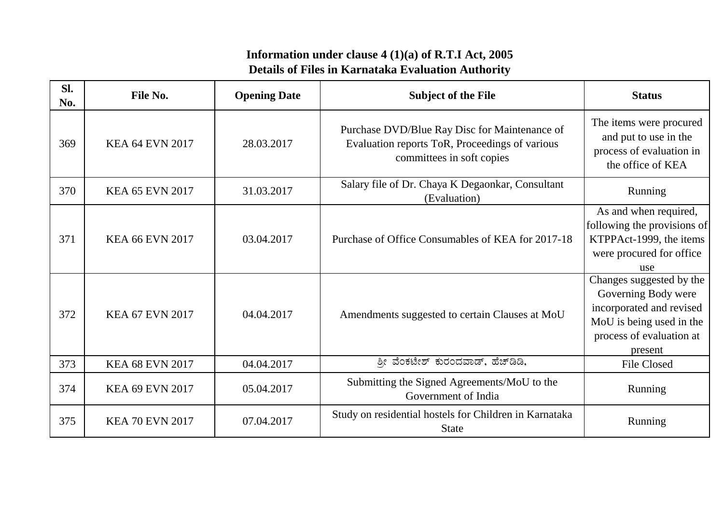| SI.<br>No. | File No.               | <b>Opening Date</b> | <b>Subject of the File</b>                                                                                                   | <b>Status</b>                                                                                                                                  |
|------------|------------------------|---------------------|------------------------------------------------------------------------------------------------------------------------------|------------------------------------------------------------------------------------------------------------------------------------------------|
| 369        | <b>KEA 64 EVN 2017</b> | 28.03.2017          | Purchase DVD/Blue Ray Disc for Maintenance of<br>Evaluation reports ToR, Proceedings of various<br>committees in soft copies | The items were procured<br>and put to use in the<br>process of evaluation in<br>the office of KEA                                              |
| 370        | <b>KEA 65 EVN 2017</b> | 31.03.2017          | Salary file of Dr. Chaya K Degaonkar, Consultant<br>(Evaluation)                                                             | Running                                                                                                                                        |
| 371        | <b>KEA 66 EVN 2017</b> | 03.04.2017          | Purchase of Office Consumables of KEA for 2017-18                                                                            | As and when required,<br>following the provisions of<br>KTPPAct-1999, the items<br>were procured for office<br>use                             |
| 372        | <b>KEA 67 EVN 2017</b> | 04.04.2017          | Amendments suggested to certain Clauses at MoU                                                                               | Changes suggested by the<br>Governing Body were<br>incorporated and revised<br>MoU is being used in the<br>process of evaluation at<br>present |
| 373        | <b>KEA 68 EVN 2017</b> | 04.04.2017          | ಶ್ರೀ ವೆಂಕಟೇಶ್ ಕುರಂದವಾಡ್, ಹೆಚ್ಡಿಡಿ,                                                                                           | <b>File Closed</b>                                                                                                                             |
| 374        | <b>KEA 69 EVN 2017</b> | 05.04.2017          | Submitting the Signed Agreements/MoU to the<br>Government of India                                                           | Running                                                                                                                                        |
| 375        | <b>KEA 70 EVN 2017</b> | 07.04.2017          | Study on residential hostels for Children in Karnataka<br><b>State</b>                                                       | <b>Running</b>                                                                                                                                 |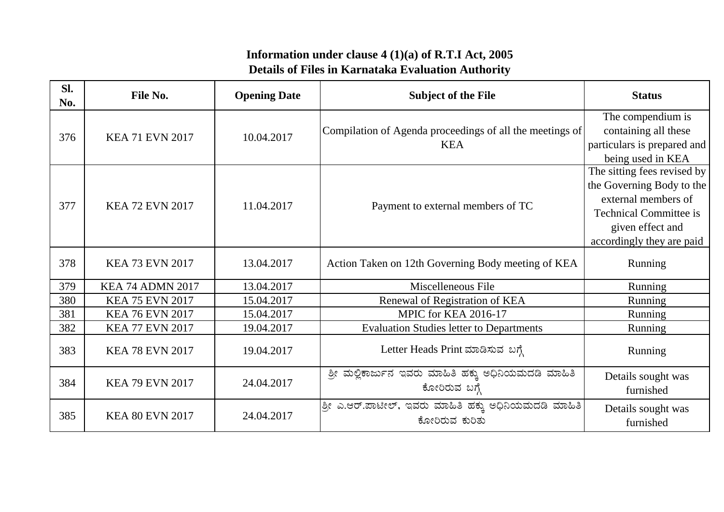| SI.<br>No. | File No.                | <b>Opening Date</b> | <b>Subject of the File</b>                                               | <b>Status</b>                                                                                                                                                     |
|------------|-------------------------|---------------------|--------------------------------------------------------------------------|-------------------------------------------------------------------------------------------------------------------------------------------------------------------|
| 376        | <b>KEA 71 EVN 2017</b>  | 10.04.2017          | Compilation of Agenda proceedings of all the meetings of<br><b>KEA</b>   | The compendium is<br>containing all these<br>particulars is prepared and<br>being used in KEA                                                                     |
| 377        | <b>KEA 72 EVN 2017</b>  | 11.04.2017          | Payment to external members of TC                                        | The sitting fees revised by<br>the Governing Body to the<br>external members of<br><b>Technical Committee is</b><br>given effect and<br>accordingly they are paid |
| 378        | <b>KEA 73 EVN 2017</b>  | 13.04.2017          | Action Taken on 12th Governing Body meeting of KEA                       | Running                                                                                                                                                           |
| 379        | <b>KEA 74 ADMN 2017</b> | 13.04.2017          | Miscelleneous File                                                       | Running                                                                                                                                                           |
| 380        | <b>KEA 75 EVN 2017</b>  | 15.04.2017          | Renewal of Registration of KEA                                           | Running                                                                                                                                                           |
| 381        | <b>KEA 76 EVN 2017</b>  | 15.04.2017          | <b>MPIC for KEA 2016-17</b>                                              | Running                                                                                                                                                           |
| 382        | <b>KEA 77 EVN 2017</b>  | 19.04.2017          | <b>Evaluation Studies letter to Departments</b>                          | Running                                                                                                                                                           |
| 383        | <b>KEA 78 EVN 2017</b>  | 19.04.2017          | Letter Heads Print ಮಾಡಿಸುವ ಬಗ್ಗೆ                                         | Running                                                                                                                                                           |
| 384        | <b>KEA 79 EVN 2017</b>  | 24.04.2017          | ಶ್ರೀ ಮಲ್ಲಿಕಾರ್ಜುನ ಇವರು ಮಾಹಿತಿ ಹಕ್ಕು ಅಧಿನಿಯಮದಡಿ ಮಾಹಿತಿ<br>ಕೋರಿರುವ ಬಗ್ಗೆ   | Details sought was<br>furnished                                                                                                                                   |
| 385        | <b>KEA 80 EVN 2017</b>  | 24.04.2017          | ಶ್ರೀ ಎ.ಆರ್.ಪಾಟೀಲ್, ಇವರು ಮಾಹಿತಿ ಹಕ್ಕು ಅಧಿನಿಯಮದಡಿ ಮಾಹಿತಿ<br>ಕೋರಿರುವ ಕುರಿತು | Details sought was<br>furnished                                                                                                                                   |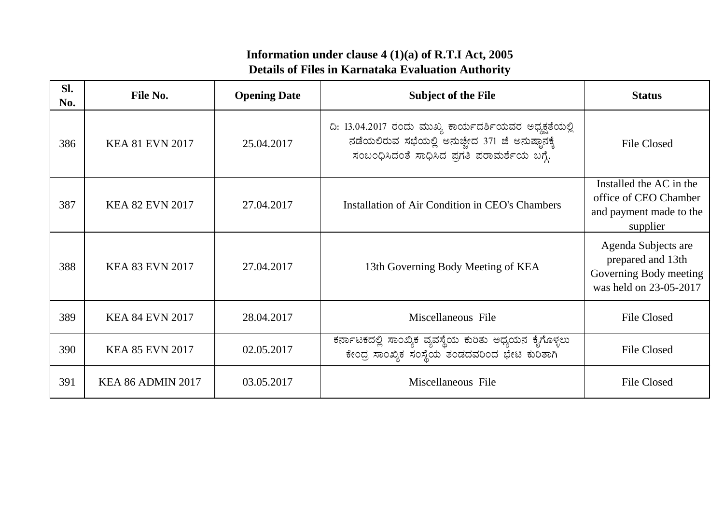| SI.<br>No. | File No.                 | <b>Opening Date</b> | <b>Subject of the File</b>                                                                                                                                | <b>Status</b>                                                                                |
|------------|--------------------------|---------------------|-----------------------------------------------------------------------------------------------------------------------------------------------------------|----------------------------------------------------------------------------------------------|
| 386        | <b>KEA 81 EVN 2017</b>   | 25.04.2017          | ದಿ: 13.04.2017 ರಂದು ಮುಖ್ಯ ಕಾರ್ಯದರ್ಶಿಯವರ ಅಧ್ಯಕ್ಷತೆಯಲ್ಲಿ<br>ನಡೆಯಲಿರುವ ಸಭೆಯಲ್ಲಿ ಅನುಚ್ಚೇದ 371 ಜೆ ಅನುಷ್ಠಾನಕ್ಕೆ<br>ಸಂಬಂಧಿಸಿದಂತೆ ಸಾಧಿಸಿದ ಪ್ರಗತಿ ಪರಾಮರ್ಶೆಯ ಬಗ್ಗೆ. | <b>File Closed</b>                                                                           |
| 387        | <b>KEA 82 EVN 2017</b>   | 27.04.2017          | Installation of Air Condition in CEO's Chambers                                                                                                           | Installed the AC in the<br>office of CEO Chamber<br>and payment made to the<br>supplier      |
| 388        | <b>KEA 83 EVN 2017</b>   | 27.04.2017          | 13th Governing Body Meeting of KEA                                                                                                                        | Agenda Subjects are<br>prepared and 13th<br>Governing Body meeting<br>was held on 23-05-2017 |
| 389        | <b>KEA 84 EVN 2017</b>   | 28.04.2017          | Miscellaneous File                                                                                                                                        | <b>File Closed</b>                                                                           |
| 390        | <b>KEA 85 EVN 2017</b>   | 02.05.2017          | ಕರ್ನಾಟಕದಲ್ಲಿ ಸಾಂಖ್ಯಿಕ ವ್ಯವಸ್ಥೆಯ ಕುರಿತು ಅಧ್ಯಯನ ಕೈಗೊಳ್ಳಲು<br>ಕೇಂದ್ರ ಸಾಂಖ್ಯಿಕ ಸಂಸ್ಥೆಯ ತಂಡದವರಿಂದ ಭೇಟಿ ಕುರಿತಾಗಿ                                                | <b>File Closed</b>                                                                           |
| 391        | <b>KEA 86 ADMIN 2017</b> | 03.05.2017          | Miscellaneous File                                                                                                                                        | <b>File Closed</b>                                                                           |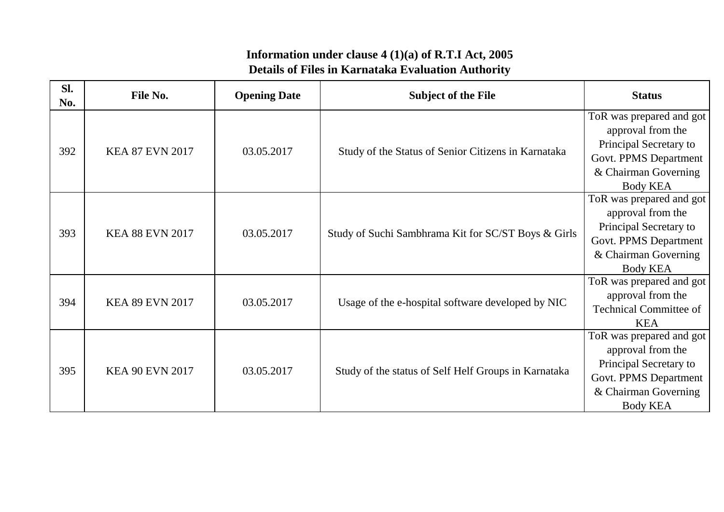| SI.<br>No. | File No.               | <b>Opening Date</b> | <b>Subject of the File</b>                           | <b>Status</b>                                                                                                                               |
|------------|------------------------|---------------------|------------------------------------------------------|---------------------------------------------------------------------------------------------------------------------------------------------|
| 392        | <b>KEA 87 EVN 2017</b> | 03.05.2017          | Study of the Status of Senior Citizens in Karnataka  | ToR was prepared and got<br>approval from the<br>Principal Secretary to<br>Govt. PPMS Department<br>& Chairman Governing<br><b>Body KEA</b> |
| 393        | <b>KEA 88 EVN 2017</b> | 03.05.2017          | Study of Suchi Sambhrama Kit for SC/ST Boys & Girls  | ToR was prepared and got<br>approval from the<br>Principal Secretary to<br>Govt. PPMS Department<br>& Chairman Governing<br><b>Body KEA</b> |
| 394        | <b>KEA 89 EVN 2017</b> | 03.05.2017          | Usage of the e-hospital software developed by NIC    | ToR was prepared and got<br>approval from the<br><b>Technical Committee of</b><br><b>KEA</b>                                                |
| 395        | <b>KEA 90 EVN 2017</b> | 03.05.2017          | Study of the status of Self Helf Groups in Karnataka | ToR was prepared and got<br>approval from the<br>Principal Secretary to<br>Govt. PPMS Department<br>& Chairman Governing<br><b>Body KEA</b> |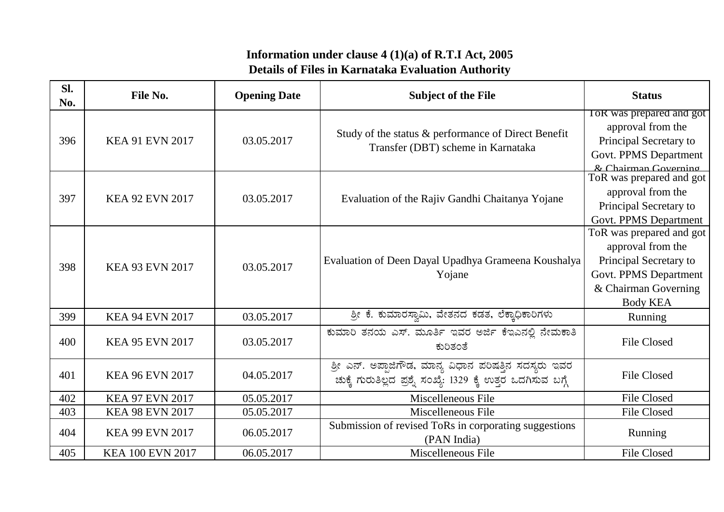| SI.<br>No. | File No.                | <b>Opening Date</b> | <b>Subject of the File</b>                                                                                               | <b>Status</b>                                                                                                                               |
|------------|-------------------------|---------------------|--------------------------------------------------------------------------------------------------------------------------|---------------------------------------------------------------------------------------------------------------------------------------------|
| 396        | <b>KEA 91 EVN 2017</b>  | 03.05.2017          | Study of the status & performance of Direct Benefit<br>Transfer (DBT) scheme in Karnataka                                | ToR was prepared and got<br>approval from the<br>Principal Secretary to<br>Govt. PPMS Department<br>& Chairman Governing                    |
| 397        | <b>KEA 92 EVN 2017</b>  | 03.05.2017          | Evaluation of the Rajiv Gandhi Chaitanya Yojane                                                                          | ToR was prepared and got<br>approval from the<br>Principal Secretary to<br>Govt. PPMS Department                                            |
| 398        | <b>KEA 93 EVN 2017</b>  | 03.05.2017          | Evaluation of Deen Dayal Upadhya Grameena Koushalya<br>Yojane                                                            | ToR was prepared and got<br>approval from the<br>Principal Secretary to<br>Govt. PPMS Department<br>& Chairman Governing<br><b>Body KEA</b> |
| 399        | <b>KEA 94 EVN 2017</b>  | 03.05.2017          | ಶ್ರೀ ಕೆ. ಕುಮಾರಸ್ವಾಮಿ, ವೇತನದ ಕಡತ, ಲೆಕ್ಕಾಧಿಕಾರಿಗಳು                                                                         | Running                                                                                                                                     |
| 400        | <b>KEA 95 EVN 2017</b>  | 03.05.2017          | ಕುಮಾರಿ ತನಯ ಎಸ್. ಮೂರ್ತಿ ಇವರ ಅರ್ಜಿ ಕೆಇಎನಲ್ಲಿ ನೇಮಕಾತಿ<br>ಕುರಿತಂತೆ                                                           | <b>File Closed</b>                                                                                                                          |
| 401        | <b>KEA 96 EVN 2017</b>  | 04.05.2017          | ಶ್ರೀ ಎನ್. ಅಪ್ಪಾಜಿಗೌಡ, ಮಾನ್ಯ ವಿಧಾನ ಪರಿಷತ್ತಿನ ಸದಸ್ಯರು ಇವರ<br>ಚುಕ್ಕೆ ಗುರುತಿಲ್ಲದ ಪ್ರಶೈ ಸಂಖ್ಯೆ: 1329 ಕ್ಕೆ ಉತ್ತರ ಒದಗಿಸುವ ಬಗ್ಗೆ | <b>File Closed</b>                                                                                                                          |
| 402        | <b>KEA 97 EVN 2017</b>  | 05.05.2017          | Miscelleneous File                                                                                                       | <b>File Closed</b>                                                                                                                          |
| 403        | <b>KEA 98 EVN 2017</b>  | 05.05.2017          | Miscelleneous File                                                                                                       | <b>File Closed</b>                                                                                                                          |
| 404        | <b>KEA 99 EVN 2017</b>  | 06.05.2017          | Submission of revised ToRs in corporating suggestions<br>(PAN India)                                                     | Running                                                                                                                                     |
| 405        | <b>KEA 100 EVN 2017</b> | 06.05.2017          | Miscelleneous File                                                                                                       | File Closed                                                                                                                                 |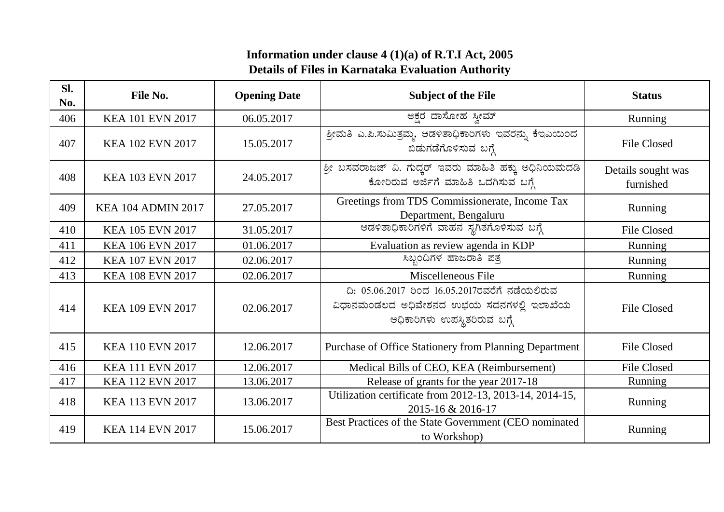| SI.<br>No. | File No.                  | <b>Opening Date</b> | <b>Subject of the File</b>                                                                                                  | <b>Status</b>                   |
|------------|---------------------------|---------------------|-----------------------------------------------------------------------------------------------------------------------------|---------------------------------|
| 406        | <b>KEA 101 EVN 2017</b>   | 06.05.2017          | ಅಕ್ಷರ ದಾಸೋಹ ಸ್ವೀಮ್                                                                                                          | Running                         |
| 407        | KEA 102 EVN 2017          | 15.05.2017          | ಶ್ರೀಮತಿ ಎ.ಪಿ.ಸುಮಿತ್ರಮ್ಮ, ಆಡಳಿತಾಧಿಕಾರಿಗಳು ಇವರನ್ನು ಕೆಇಎಯಿಂದ<br>ಬಿಡುಗಡೆಗೊಳಿಸುವ ಬಗ್ಗೆ                                           | <b>File Closed</b>              |
| 408        | <b>KEA 103 EVN 2017</b>   | 24.05.2017          | ಶ್ರೀ ಬಸವರಾಜಜ್ ವಿ. ಗುದ್ಕರ್ ಇವರು ಮಾಹಿತಿ ಹಕ್ಕು ಅಧಿನಿಯಮದಡಿ<br>ಕೋರಿರುವ ಅರ್ಜಿಗೆ ಮಾಹಿತಿ ಒದಗಿಸುವ ಬಗ್ಗೆ                              | Details sought was<br>furnished |
| 409        | <b>KEA 104 ADMIN 2017</b> | 27.05.2017          | Greetings from TDS Commissionerate, Income Tax<br>Department, Bengaluru                                                     | Running                         |
| 410        | <b>KEA 105 EVN 2017</b>   | 31.05.2017          | ಆಡಳಿತಾಧಿಕಾರಿಗಳಿಗೆ ವಾಹನ ಸ್ಥಗಿತಗೊಳಿಸುವ ಬಗ್ಗೆ                                                                                  | <b>File Closed</b>              |
| 411        | KEA 106 EVN 2017          | 01.06.2017          | Evaluation as review agenda in KDP                                                                                          | Running                         |
| 412        | KEA 107 EVN 2017          | 02.06.2017          | ಸಿಬ್ಬಂದಿಗಳ ಹಾಜರಾತಿ ಪತ್ರ                                                                                                     | Running                         |
| 413        | <b>KEA 108 EVN 2017</b>   | 02.06.2017          | Miscelleneous File                                                                                                          | Running                         |
| 414        | <b>KEA 109 EVN 2017</b>   | 02.06.2017          | ದಿ: 05.06.2017 ರಿಂದ 16.05.2017ರವರೆಗೆ ನಡೆಯಲಿರುವ<br>ವಿಧಾನಮಂಡಲದ ಅಧಿವೇಶನದ ಉಭಯ ಸದನಗಳಲ್ಲಿ ಇಲಾಖೆಯ<br>ಅಧಿಕಾರಿಗಳು ಉಪಸ್ಥಿತರಿರುವ ಬಗ್ಗೆ | <b>File Closed</b>              |
| 415        | <b>KEA 110 EVN 2017</b>   | 12.06.2017          | Purchase of Office Stationery from Planning Department                                                                      | <b>File Closed</b>              |
| 416        | <b>KEA 111 EVN 2017</b>   | 12.06.2017          | Medical Bills of CEO, KEA (Reimbursement)                                                                                   | <b>File Closed</b>              |
| 417        | <b>KEA 112 EVN 2017</b>   | 13.06.2017          | Release of grants for the year 2017-18                                                                                      | <b>Running</b>                  |
| 418        | <b>KEA 113 EVN 2017</b>   | 13.06.2017          | Utilization certificate from 2012-13, 2013-14, 2014-15,<br>2015-16 & 2016-17                                                | Running                         |
| 419        | <b>KEA 114 EVN 2017</b>   | 15.06.2017          | Best Practices of the State Government (CEO nominated<br>to Workshop)                                                       | Running                         |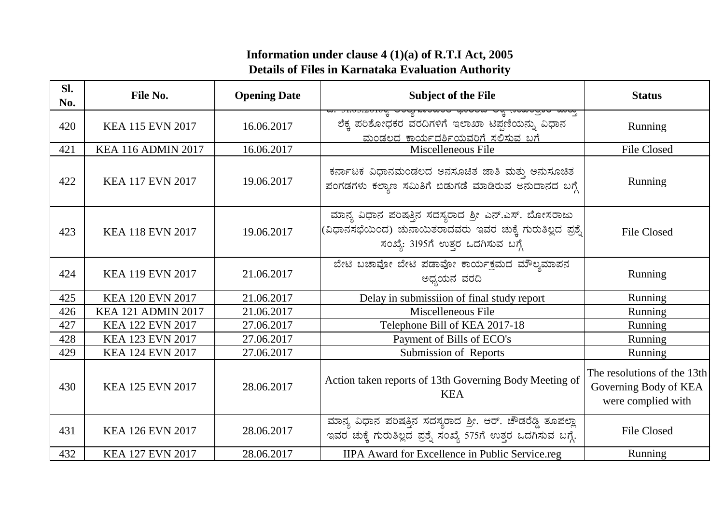| Sl.<br>No. | File No.                  | <b>Opening Date</b> | <b>Subject of the File</b>                                                                                                                                        | <b>Status</b>                                                              |
|------------|---------------------------|---------------------|-------------------------------------------------------------------------------------------------------------------------------------------------------------------|----------------------------------------------------------------------------|
| 420        | <b>KEA 115 EVN 2017</b>   | 16.06.2017          | <del>က်က ဝပ်ခ်ဝထလဲ စို့ရ ကရာဝက် ဓရစာဝေးဖ</del> ို့ရောက်သော မေတာ့<br>ಲೆಕ್ಕ ಪರಿಶೋಧಕರ ವರದಿಗಳಿಗೆ ಇಲಾಖಾ ಟಿಪ್ಪಣಿಯನ್ನು ವಿಧಾನ<br><u>ಮಂಡಲದ ಕಾರ್ಯದರ್ಶಿಯವರಿಗೆ ಸಲಿಸುವ ಬಗೆ</u> | Running                                                                    |
| 421        | <b>KEA 116 ADMIN 2017</b> | 16.06.2017          | Miscelleneous File                                                                                                                                                | <b>File Closed</b>                                                         |
| 422        | <b>KEA 117 EVN 2017</b>   | 19.06.2017          | ಕರ್ನಾಟಕ ವಿಧಾನಮಂಡಲದ ಅನಸೂಚಿತ ಜಾತಿ ಮತ್ತು ಅನುಸೂಚಿತ<br>ಪಂಗಡಗಳು ಕಲ್ಯಾಣ ಸಮಿತಿಗೆ ಬಿಡುಗಡೆ ಮಾಡಿರುವ ಅನುದಾನದ ಬಗ್ಗೆ                                                            | Running                                                                    |
| 423        | <b>KEA 118 EVN 2017</b>   | 19.06.2017          | ಮಾನ್ಯ ವಿಧಾನ ಪರಿಷತ್ತಿನ ಸದಸ್ಯರಾದ ಶ್ರೀ ಎನ್.ಎಸ್. ಬೋಸರಾಜು<br>(ವಿಧಾನಸಭೆಯಿಂದ) ಚುನಾಯಿತರಾದವರು ಇವರ ಚುಕ್ಕೆ ಗುರುತಿಲ್ಲದ ಪ್ರಶೈ<br>ಸಂಖ್ಯೆ: 3195ಗೆ ಉತ್ತರ ಒದಗಿಸುವ ಬಗ್ಗೆ            | <b>File Closed</b>                                                         |
| 424        | <b>KEA 119 EVN 2017</b>   | 21.06.2017          | -<br><u>ಪೇಟಿ</u> ಬಚಾವೋ ಬೇಟಿ ಪಡಾವೋ ಕಾರ್ಯಕ್ರಮದ ಮೌಲ್ಯಮಾಪನ<br>ಅಧ್ಯಯನ ವರದಿ                                                                                             | Running                                                                    |
| 425        | KEA 120 EVN 2017          | 21.06.2017          | Delay in submissiion of final study report                                                                                                                        | Running                                                                    |
| 426        | <b>KEA 121 ADMIN 2017</b> | 21.06.2017          | Miscelleneous File                                                                                                                                                | Running                                                                    |
| 427        | KEA 122 EVN 2017          | 27.06.2017          | Telephone Bill of KEA 2017-18                                                                                                                                     | Running                                                                    |
| 428        | <b>KEA 123 EVN 2017</b>   | 27.06.2017          | Payment of Bills of ECO's                                                                                                                                         | Running                                                                    |
| 429        | <b>KEA 124 EVN 2017</b>   | 27.06.2017          | Submission of Reports                                                                                                                                             | Running                                                                    |
| 430        | <b>KEA 125 EVN 2017</b>   | 28.06.2017          | Action taken reports of 13th Governing Body Meeting of<br><b>KEA</b>                                                                                              | The resolutions of the 13th<br>Governing Body of KEA<br>were complied with |
| 431        | <b>KEA 126 EVN 2017</b>   | 28.06.2017          | ಮಾನ್ಯ ವಿಧಾನ ಪರಿಷತ್ತಿನ ಸದಸ್ಯರಾದ ಶ್ರೀ. ಆರ್. ಚೌಡರೆಡ್ಡಿ ತೂಪಲ್ಲಾ<br>ಇವರ ಚುಕ್ಕೆ ಗುರುತಿಲ್ಲದ ಪ್ರಶ್ನೆ ಸಂಖ್ಯೆ 575ಗೆ ಉತ್ತರ ಒದಗಿಸುವ ಬಗ್ಗೆ.                                    | <b>File Closed</b>                                                         |
| 432        | <b>KEA 127 EVN 2017</b>   | 28.06.2017          | IIPA Award for Excellence in Public Service.reg                                                                                                                   | Running                                                                    |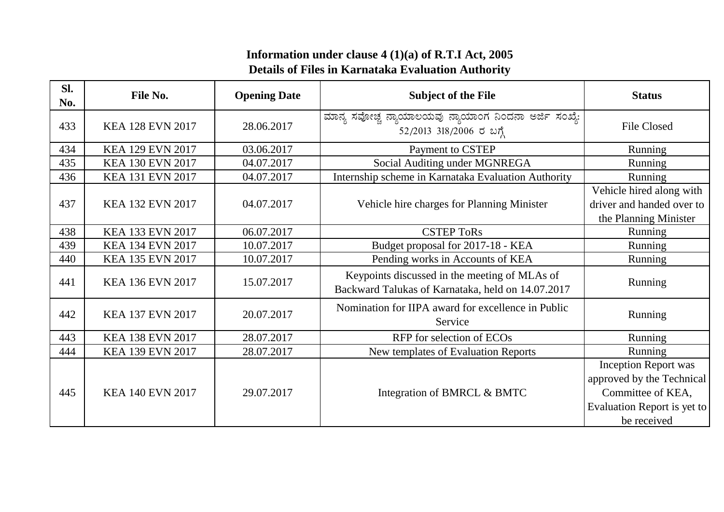| SI.<br>No. | File No.                | <b>Opening Date</b> | <b>Subject of the File</b>                                                                         | <b>Status</b>                                                                                                        |
|------------|-------------------------|---------------------|----------------------------------------------------------------------------------------------------|----------------------------------------------------------------------------------------------------------------------|
| 433        | <b>KEA 128 EVN 2017</b> | 28.06.2017          | ಮಾನ್ಯ ಸವೋಚ್ಚ ನ್ಯಾಯಾಲಯವು ನ್ಯಾಯಾಂಗ ನಿಂದನಾ ಅರ್ಜಿ ಸಂಖ್ಯೆ:<br>52/2013 318/2006 ರ ಬಗ್ಗೆ                  | <b>File Closed</b>                                                                                                   |
| 434        | KEA 129 EVN 2017        | 03.06.2017          | <b>Payment to CSTEP</b>                                                                            | Running                                                                                                              |
| 435        | KEA 130 EVN 2017        | 04.07.2017          | Social Auditing under MGNREGA                                                                      | Running                                                                                                              |
| 436        | <b>KEA 131 EVN 2017</b> | 04.07.2017          | Internship scheme in Karnataka Evaluation Authority                                                | Running                                                                                                              |
| 437        | <b>KEA 132 EVN 2017</b> | 04.07.2017          | Vehicle hire charges for Planning Minister                                                         | Vehicle hired along with<br>driver and handed over to<br>the Planning Minister                                       |
| 438        | <b>KEA 133 EVN 2017</b> | 06.07.2017          | <b>CSTEP ToRs</b>                                                                                  | Running                                                                                                              |
| 439        | <b>KEA 134 EVN 2017</b> | 10.07.2017          | Budget proposal for 2017-18 - KEA                                                                  | Running                                                                                                              |
| 440        | KEA 135 EVN 2017        | 10.07.2017          | Pending works in Accounts of KEA                                                                   | Running                                                                                                              |
| 441        | <b>KEA 136 EVN 2017</b> | 15.07.2017          | Keypoints discussed in the meeting of MLAs of<br>Backward Talukas of Karnataka, held on 14.07.2017 | Running                                                                                                              |
| 442        | <b>KEA 137 EVN 2017</b> | 20.07.2017          | Nomination for IIPA award for excellence in Public<br>Service                                      | Running                                                                                                              |
| 443        | <b>KEA 138 EVN 2017</b> | 28.07.2017          | RFP for selection of ECOs                                                                          | Running                                                                                                              |
| 444        | KEA 139 EVN 2017        | 28.07.2017          | New templates of Evaluation Reports                                                                | Running                                                                                                              |
| 445        | <b>KEA 140 EVN 2017</b> | 29.07.2017          | Integration of BMRCL & BMTC                                                                        | Inception Report was<br>approved by the Technical<br>Committee of KEA,<br>Evaluation Report is yet to<br>be received |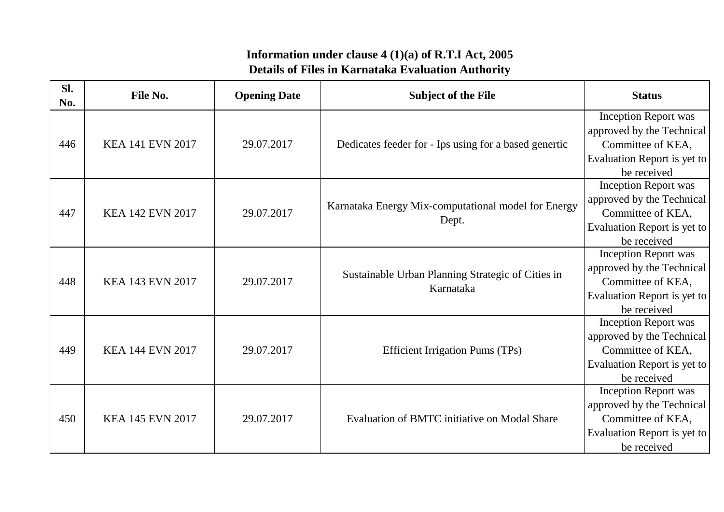| SI.<br>No. | File No.                | <b>Opening Date</b> | <b>Subject of the File</b>                                     | <b>Status</b>                                                                                                               |
|------------|-------------------------|---------------------|----------------------------------------------------------------|-----------------------------------------------------------------------------------------------------------------------------|
| 446        | <b>KEA 141 EVN 2017</b> | 29.07.2017          | Dedicates feeder for - Ips using for a based genertic          | <b>Inception Report was</b><br>approved by the Technical<br>Committee of KEA,<br>Evaluation Report is yet to<br>be received |
| 447        | KEA 142 EVN 2017        | 29.07.2017          | Karnataka Energy Mix-computational model for Energy<br>Dept.   | <b>Inception Report was</b><br>approved by the Technical<br>Committee of KEA,<br>Evaluation Report is yet to<br>be received |
| 448        | <b>KEA 143 EVN 2017</b> | 29.07.2017          | Sustainable Urban Planning Strategic of Cities in<br>Karnataka | <b>Inception Report was</b><br>approved by the Technical<br>Committee of KEA,<br>Evaluation Report is yet to<br>be received |
| 449        | <b>KEA 144 EVN 2017</b> | 29.07.2017          | <b>Efficient Irrigation Pums (TPs)</b>                         | <b>Inception Report was</b><br>approved by the Technical<br>Committee of KEA,<br>Evaluation Report is yet to<br>be received |
| 450        | <b>KEA 145 EVN 2017</b> | 29.07.2017          | Evaluation of BMTC initiative on Modal Share                   | <b>Inception Report was</b><br>approved by the Technical<br>Committee of KEA,<br>Evaluation Report is yet to<br>be received |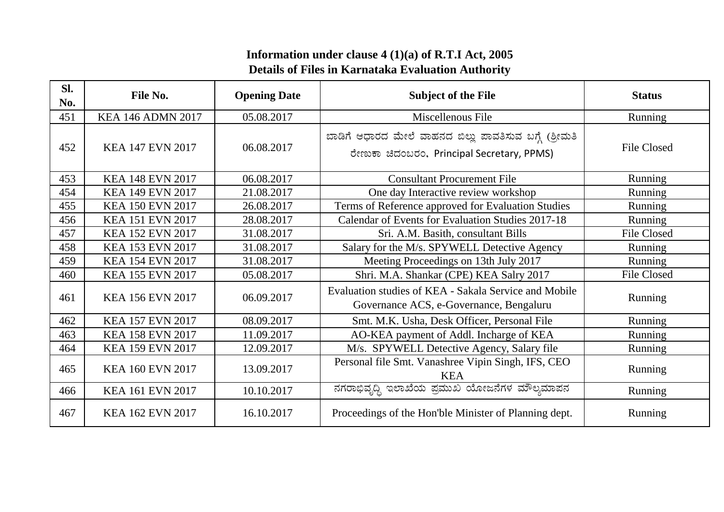| SI.<br>No. | File No.                 | <b>Opening Date</b> | <b>Subject of the File</b>                                                                           | <b>Status</b>      |
|------------|--------------------------|---------------------|------------------------------------------------------------------------------------------------------|--------------------|
| 451        | <b>KEA 146 ADMN 2017</b> | 05.08.2017          | Miscellenous File                                                                                    | Running            |
| 452        | <b>KEA 147 EVN 2017</b>  | 06.08.2017          | ಬಾಡಿಗೆ ಆಧಾರದ ಮೇಲೆ ವಾಹನದ ಬಿಲ್ಲು ಪಾವತಿಸುವ ಬಗ್ಗೆ (ಶ್ರೀಮತಿ<br>ರೇಣುಕಾ ಚಿದಂಬರಂ, Principal Secretary, PPMS) | <b>File Closed</b> |
| 453        | <b>KEA 148 EVN 2017</b>  | 06.08.2017          | <b>Consultant Procurement File</b>                                                                   | Running            |
| 454        | KEA 149 EVN 2017         | 21.08.2017          | One day Interactive review workshop                                                                  | Running            |
| 455        | <b>KEA 150 EVN 2017</b>  | 26.08.2017          | Terms of Reference approved for Evaluation Studies                                                   | Running            |
| 456        | <b>KEA 151 EVN 2017</b>  | 28.08.2017          | Calendar of Events for Evaluation Studies 2017-18                                                    | Running            |
| 457        | KEA 152 EVN 2017         | 31.08.2017          | Sri. A.M. Basith, consultant Bills                                                                   | File Closed        |
| 458        | <b>KEA 153 EVN 2017</b>  | 31.08.2017          | Salary for the M/s. SPYWELL Detective Agency                                                         | Running            |
| 459        | <b>KEA 154 EVN 2017</b>  | 31.08.2017          | Meeting Proceedings on 13th July 2017                                                                | Running            |
| 460        | KEA 155 EVN 2017         | 05.08.2017          | Shri. M.A. Shankar (CPE) KEA Salry 2017                                                              | <b>File Closed</b> |
| 461        | <b>KEA 156 EVN 2017</b>  | 06.09.2017          | Evaluation studies of KEA - Sakala Service and Mobile<br>Governance ACS, e-Governance, Bengaluru     | Running            |
| 462        | <b>KEA 157 EVN 2017</b>  | 08.09.2017          | Smt. M.K. Usha, Desk Officer, Personal File                                                          | Running            |
| 463        | <b>KEA 158 EVN 2017</b>  | 11.09.2017          | AO-KEA payment of Addl. Incharge of KEA                                                              | Running            |
| 464        | KEA 159 EVN 2017         | 12.09.2017          | M/s. SPYWELL Detective Agency, Salary file                                                           | Running            |
| 465        | <b>KEA 160 EVN 2017</b>  | 13.09.2017          | Personal file Smt. Vanashree Vipin Singh, IFS, CEO<br><b>KEA</b>                                     | Running            |
| 466        | <b>KEA 161 EVN 2017</b>  | 10.10.2017          | ನಗರಾಭಿವೃದ್ಧಿ ಇಲಾಖೆಯ ಪ್ರಮುಖ ಯೋಜನೆಗಳ ಮೌಲ್ಯಮಾಪನ                                                         | Running            |
| 467        | KEA 162 EVN 2017         | 16.10.2017          | Proceedings of the Hon'ble Minister of Planning dept.                                                | Running            |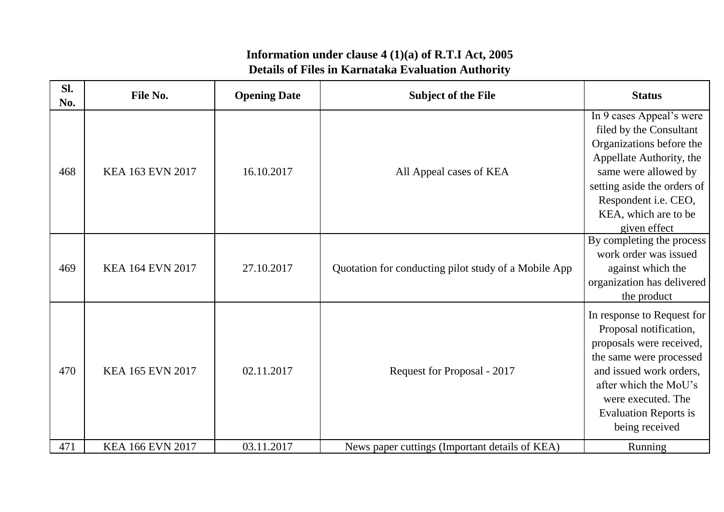| SI.<br>No. | File No.                | <b>Opening Date</b> | <b>Subject of the File</b>                           | <b>Status</b>                                                                                                                                                                                                                           |
|------------|-------------------------|---------------------|------------------------------------------------------|-----------------------------------------------------------------------------------------------------------------------------------------------------------------------------------------------------------------------------------------|
| 468        | <b>KEA 163 EVN 2017</b> | 16.10.2017          | All Appeal cases of KEA                              | In 9 cases Appeal's were<br>filed by the Consultant<br>Organizations before the<br>Appellate Authority, the<br>same were allowed by<br>setting aside the orders of<br>Respondent i.e. CEO,<br>KEA, which are to be<br>given effect      |
| 469        | <b>KEA 164 EVN 2017</b> | 27.10.2017          | Quotation for conducting pilot study of a Mobile App | By completing the process<br>work order was issued<br>against which the<br>organization has delivered<br>the product                                                                                                                    |
| 470        | <b>KEA 165 EVN 2017</b> | 02.11.2017          | Request for Proposal - 2017                          | In response to Request for<br>Proposal notification,<br>proposals were received,<br>the same were processed<br>and issued work orders,<br>after which the MoU's<br>were executed. The<br><b>Evaluation Reports is</b><br>being received |
| 471        | KEA 166 EVN 2017        | 03.11.2017          | News paper cuttings (Important details of KEA)       | Running                                                                                                                                                                                                                                 |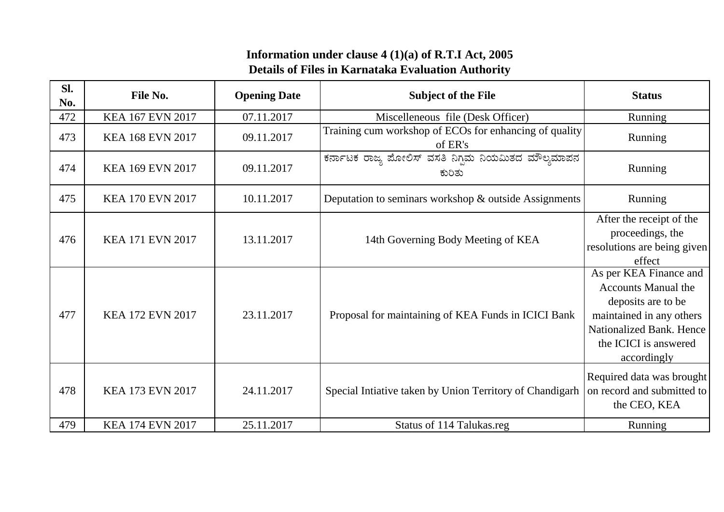| SI.<br>No. | File No.                | <b>Opening Date</b> | <b>Subject of the File</b>                                        | <b>Status</b>                                                                                                                                                              |
|------------|-------------------------|---------------------|-------------------------------------------------------------------|----------------------------------------------------------------------------------------------------------------------------------------------------------------------------|
| 472        | <b>KEA 167 EVN 2017</b> | 07.11.2017          | Miscelleneous file (Desk Officer)                                 | Running                                                                                                                                                                    |
| 473        | KEA 168 EVN 2017        | 09.11.2017          | Training cum workshop of ECOs for enhancing of quality<br>of ER's | Running                                                                                                                                                                    |
| 474        | KEA 169 EVN 2017        | 09.11.2017          | ಕರ್ನಾಟಕ ರಾಜ್ಯ ಪೋಲಿಸ್ ವಸತಿ ನಿಗ್ಗಮ ನಿಯಮಿತದ ಮೌಲ್ಯಮಾಪನ<br>ಕುರಿತು      | Running                                                                                                                                                                    |
| 475        | <b>KEA 170 EVN 2017</b> | 10.11.2017          | Deputation to seminars workshop & outside Assignments             | Running                                                                                                                                                                    |
| 476        | <b>KEA 171 EVN 2017</b> | 13.11.2017          | 14th Governing Body Meeting of KEA                                | After the receipt of the<br>proceedings, the<br>resolutions are being given<br>effect                                                                                      |
| 477        | KEA 172 EVN 2017        | 23.11.2017          | Proposal for maintaining of KEA Funds in ICICI Bank               | As per KEA Finance and<br><b>Accounts Manual the</b><br>deposits are to be<br>maintained in any others<br>Nationalized Bank. Hence<br>the ICICI is answered<br>accordingly |
| 478        | <b>KEA 173 EVN 2017</b> | 24.11.2017          | Special Intiative taken by Union Territory of Chandigarh          | Required data was brought<br>on record and submitted to<br>the CEO, KEA                                                                                                    |
| 479        | <b>KEA 174 EVN 2017</b> | 25.11.2017          | Status of 114 Talukas.reg                                         | Running                                                                                                                                                                    |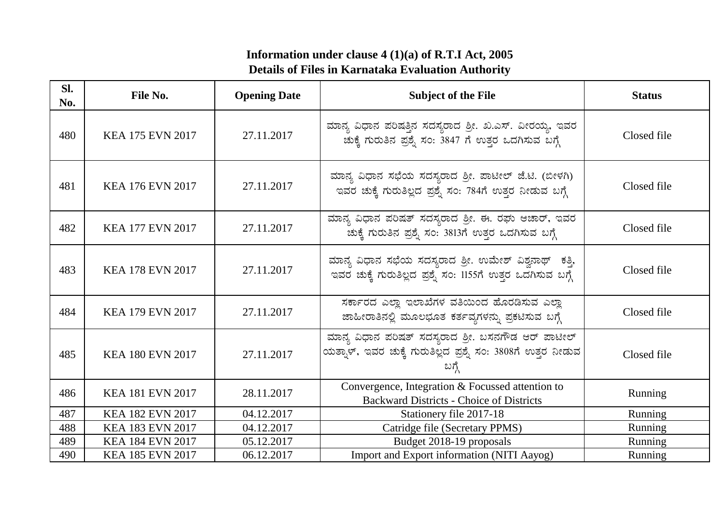| SI.<br>No. | File No.                | <b>Opening Date</b> | <b>Subject of the File</b>                                                                                                   | <b>Status</b> |
|------------|-------------------------|---------------------|------------------------------------------------------------------------------------------------------------------------------|---------------|
| 480        | <b>KEA 175 EVN 2017</b> | 27.11.2017          | ಮಾನ್ಯ ವಿಧಾನ ಪರಿಷತ್ತಿನ ಸದಸ್ಯರಾದ ಶ್ರೀ. ಖ.ಎಸ್. ವೀರಯ್ಯ, ಇವರ<br>ಚುಕ್ಕೆ ಗುರುತಿನ ಪ್ರಶ್ನೆ ಸಂ: 3847 ಗೆ ಉತ್ತರ ಒದಗಿಸುವ ಬಗ್ಗೆ            | Closed file   |
| 481        | <b>KEA 176 EVN 2017</b> | 27.11.2017          | ಮಾನ್ಯ ವಿಧಾನ ಸಭೆಯ ಸದಸ್ಯರಾದ ಶ್ರೀ. ಪಾಟೀಲ್ ಜೆ.ಟಿ. (ಬೀಳಗಿ)<br>ಇವರ ಚುಕ್ಕೆ ಗುರುತಿಲ್ಲದ ಪ್ರಶೈ ಸಂ: 784ಗೆ ಉತ್ತರ ನೀಡುವ ಬಗ್ಗೆ             | Closed file   |
| 482        | <b>KEA 177 EVN 2017</b> | 27.11.2017          | ಮಾನ್ಯ ವಿಧಾನ ಪರಿಷತ್ ಸದಸ್ಯರಾದ ಶ್ರೀ. ಈ. ರಘು ಆಚಾರ್, ಇವರ<br>ಚುಕ್ಕೆ ಗುರುತಿನ ಪ್ರಶ್ನೆ ಸಂ: 3813ಗೆ ಉತ್ತರ ಒದಗಿಸುವ ಬಗ್ಗೆ                 | Closed file   |
| 483        | <b>KEA 178 EVN 2017</b> | 27.11.2017          | ಮಾನ್ಯ ವಿಧಾನ ಸಭೆಯ ಸದಸ್ಯರಾದ ಶ್ರೀ. ಉಮೇಶ್ ವಿಶ್ವನಾಥ್ ಕತ್ತಿ,<br>ಇವರ ಚುಕ್ಕೆ ಗುರುತಿಲ್ಲದ ಪ್ರಶ್ನೆ ಸಂ: 1155ಗೆ ಉತ್ತರ ಒದಗಿಸುವ ಬಗ್ಗೆ       | Closed file   |
| 484        | <b>KEA 179 EVN 2017</b> | 27.11.2017          | ಸರ್ಕಾರದ ಎಲ್ಲಾ ಇಲಾಖೆಗಳ ವತಿಯಿಂದ ಹೊರಡಿಸುವ ಎಲ್ಲಾ<br>ಜಾಹೀರಾತಿನಲ್ಲಿ ಮೂಲಭೂತ ಕರ್ತವ್ಯಗಳನ್ನು ಪ್ರಕಟಿಸುವ ಬಗ್ಗೆ                           | Closed file   |
| 485        | <b>KEA 180 EVN 2017</b> | 27.11.2017          | ಮಾನ್ಯ ವಿಧಾನ ಪರಿಷತ್ ಸದಸ್ಯರಾದ ಶ್ರೀ. ಬಸನಗೌಡ ಆರ್ ಪಾಟೀಲ್<br>ಯತ್ನಾಳ್, ಇವರ ಚುಕ್ಕೆ ಗುರುತಿಲ್ಲದ ಪ್ರಶ್ನೆ ಸಂ: 3808ಗೆ ಉತ್ತರ ನೀಡುವ<br>ಬಗ್ಗ | Closed file   |
| 486        | <b>KEA 181 EVN 2017</b> | 28.11.2017          | Convergence, Integration & Focussed attention to<br><b>Backward Districts - Choice of Districts</b>                          | Running       |
| 487        | <b>KEA 182 EVN 2017</b> | 04.12.2017          | Stationery file 2017-18                                                                                                      | Running       |
| 488        | <b>KEA 183 EVN 2017</b> | 04.12.2017          | Catridge file (Secretary PPMS)                                                                                               | Running       |
| 489        | <b>KEA 184 EVN 2017</b> | 05.12.2017          | Budget 2018-19 proposals                                                                                                     | Running       |
| 490        | KEA 185 EVN 2017        | 06.12.2017          | Import and Export information (NITI Aayog)                                                                                   | Running       |